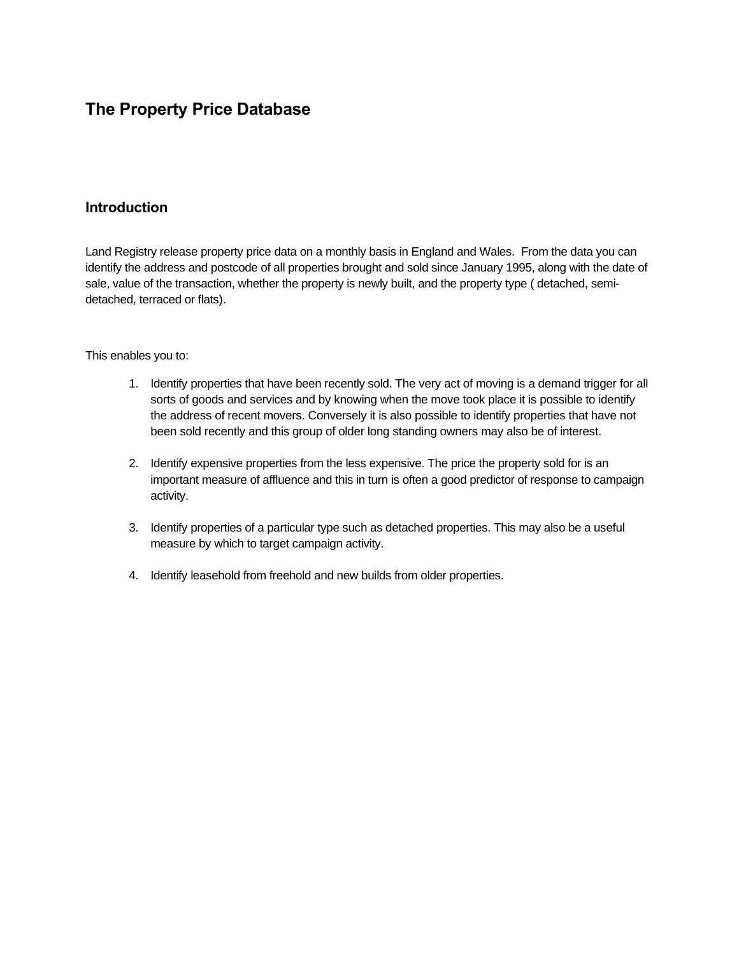## **The Property Price Database**

### **Introduction**

Land Registry release property price data on a monthly basis in England and Wales. From the data you can identify the address and postcode of all properties brought and sold since January 1995, along with the date of sale, value of the transaction, whether the property is newly built, and the property type ( detached, semidetached, terraced or flats).

#### This enables you to:

- 1. Identify properties that have been recently sold. The very act of moving is a demand trigger for all sorts of goods and services and by knowing when the move took place it is possible to identify the address of recent movers. Conversely it is also possible to identify properties that have not been sold recently and this group of older long standing owners may also be of interest.
- 2. Identify expensive properties from the less expensive. The price the property sold for is an important measure of affluence and this in turn is often a good predictor of response to campaign activity.
- 3. Identify properties of a particular type such as detached properties. This may also be a useful measure by which to target campaign activity.
- 4. Identify leasehold from freehold and new builds from older properties.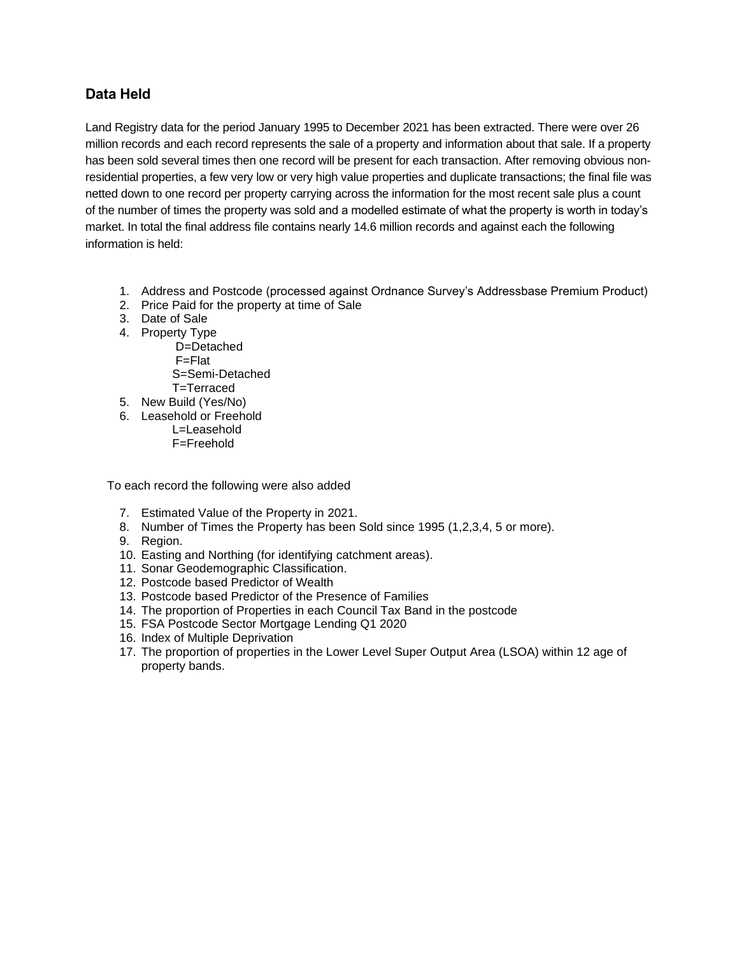### **Data Held**

Land Registry data for the period January 1995 to December 2021 has been extracted. There were over 26 million records and each record represents the sale of a property and information about that sale. If a property has been sold several times then one record will be present for each transaction. After removing obvious nonresidential properties, a few very low or very high value properties and duplicate transactions; the final file was netted down to one record per property carrying across the information for the most recent sale plus a count of the number of times the property was sold and a modelled estimate of what the property is worth in today's market. In total the final address file contains nearly 14.6 million records and against each the following information is held:

- 1. Address and Postcode (processed against Ordnance Survey's Addressbase Premium Product)
- 2. Price Paid for the property at time of Sale
- 3. Date of Sale
- 4. Property Type D=Detached F=Flat S=Semi-Detached T=Terraced
- 5. New Build (Yes/No)
- 6. Leasehold or Freehold L=Leasehold F=Freehold

To each record the following were also added

- 7. Estimated Value of the Property in 2021.
- 8. Number of Times the Property has been Sold since 1995 (1,2,3,4, 5 or more).
- 9. Region.
- 10. Easting and Northing (for identifying catchment areas).
- 11. Sonar Geodemographic Classification.
- 12. Postcode based Predictor of Wealth
- 13. Postcode based Predictor of the Presence of Families
- 14. The proportion of Properties in each Council Tax Band in the postcode
- 15. FSA Postcode Sector Mortgage Lending Q1 2020
- 16. Index of Multiple Deprivation
- 17. The proportion of properties in the Lower Level Super Output Area (LSOA) within 12 age of property bands.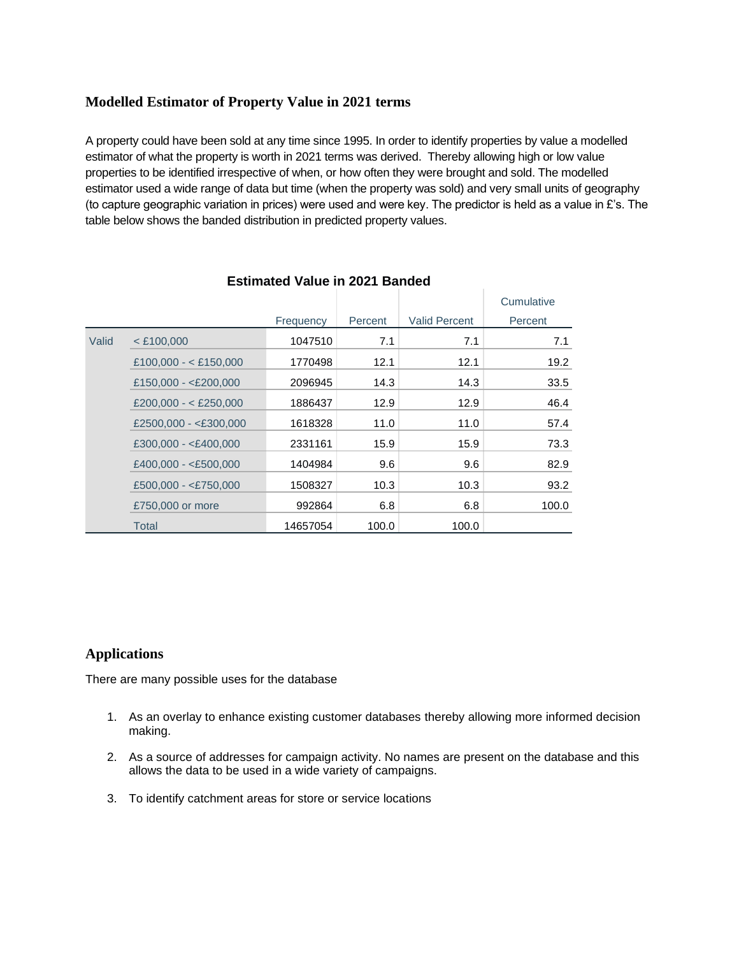### **Modelled Estimator of Property Value in 2021 terms**

A property could have been sold at any time since 1995. In order to identify properties by value a modelled estimator of what the property is worth in 2021 terms was derived. Thereby allowing high or low value properties to be identified irrespective of when, or how often they were brought and sold. The modelled estimator used a wide range of data but time (when the property was sold) and very small units of geography (to capture geographic variation in prices) were used and were key. The predictor is held as a value in  $E$ 's. The table below shows the banded distribution in predicted property values.

|       |                         |           |         |                      | Cumulative |
|-------|-------------------------|-----------|---------|----------------------|------------|
|       |                         | Frequency | Percent | <b>Valid Percent</b> | Percent    |
| Valid | $<$ £100,000            | 1047510   | 7.1     | 7.1                  | 7.1        |
|       | £100,000 - < £150,000   | 1770498   | 12.1    | 12.1                 | 19.2       |
|       | £150,000 - <£200,000    | 2096945   | 14.3    | 14.3                 | 33.5       |
|       | £200,000 - < £250,000   | 1886437   | 12.9    | 12.9                 | 46.4       |
|       | £2500,000 - <£300,000   | 1618328   | 11.0    | 11.0                 | 57.4       |
|       | $£300,000 - < £400,000$ | 2331161   | 15.9    | 15.9                 | 73.3       |
|       | £400,000 - < $£500,000$ | 1404984   | 9.6     | 9.6                  | 82.9       |
|       | $£500,000 - < £750,000$ | 1508327   | 10.3    | 10.3                 | 93.2       |
|       | £750,000 or more        | 992864    | 6.8     | 6.8                  | 100.0      |
|       | Total                   | 14657054  | 100.0   | 100.0                |            |

### **Estimated Value in 2021 Banded**

#### **Applications**

There are many possible uses for the database

- 1. As an overlay to enhance existing customer databases thereby allowing more informed decision making.
- 2. As a source of addresses for campaign activity. No names are present on the database and this allows the data to be used in a wide variety of campaigns.
- 3. To identify catchment areas for store or service locations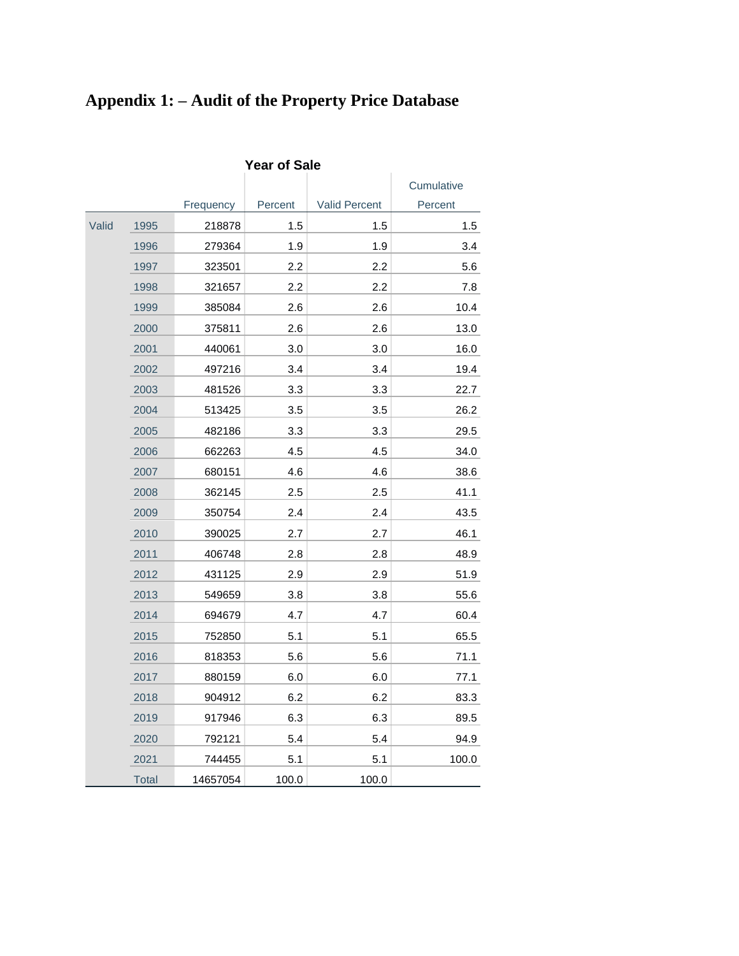# **Appendix 1: – Audit of the Property Price Database**

|       |              |           |         |               | Cumulative |
|-------|--------------|-----------|---------|---------------|------------|
|       |              | Frequency | Percent | Valid Percent | Percent    |
| Valid | 1995         | 218878    | 1.5     | 1.5           | 1.5        |
|       | 1996         | 279364    | 1.9     | 1.9           | 3.4        |
|       | 1997         | 323501    | 2.2     | 2.2           | 5.6        |
|       | 1998         | 321657    | $2.2\,$ | 2.2           | 7.8        |
|       | 1999         | 385084    | 2.6     | 2.6           | 10.4       |
|       | 2000         | 375811    | 2.6     | 2.6           | 13.0       |
|       | 2001         | 440061    | 3.0     | 3.0           | 16.0       |
|       | 2002         | 497216    | 3.4     | 3.4           | 19.4       |
|       | 2003         | 481526    | 3.3     | 3.3           | 22.7       |
|       | 2004         | 513425    | 3.5     | 3.5           | 26.2       |
|       | 2005         | 482186    | 3.3     | 3.3           | 29.5       |
|       | 2006         | 662263    | 4.5     | 4.5           | 34.0       |
|       | 2007         | 680151    | 4.6     | 4.6           | 38.6       |
|       | 2008         | 362145    | 2.5     | 2.5           | 41.1       |
|       | 2009         | 350754    | 2.4     | 2.4           | 43.5       |
|       | 2010         | 390025    | 2.7     | 2.7           | 46.1       |
|       | 2011         | 406748    | 2.8     | 2.8           | 48.9       |
|       | 2012         | 431125    | 2.9     | 2.9           | 51.9       |
|       | 2013         | 549659    | 3.8     | 3.8           | 55.6       |
|       | 2014         | 694679    | 4.7     | 4.7           | 60.4       |
|       | 2015         | 752850    | 5.1     | 5.1           | 65.5       |
|       | 2016         | 818353    | 5.6     | 5.6           | 71.1       |
|       | 2017         | 880159    | 6.0     | 6.0           | 77.1       |
|       | 2018         | 904912    | 6.2     | 6.2           | 83.3       |
|       | 2019         | 917946    | 6.3     | 6.3           | 89.5       |
|       | 2020         | 792121    | 5.4     | 5.4           | 94.9       |
|       | 2021         | 744455    | 5.1     | 5.1           | 100.0      |
|       | <b>Total</b> | 14657054  | 100.0   | 100.0         |            |

**Year of Sale**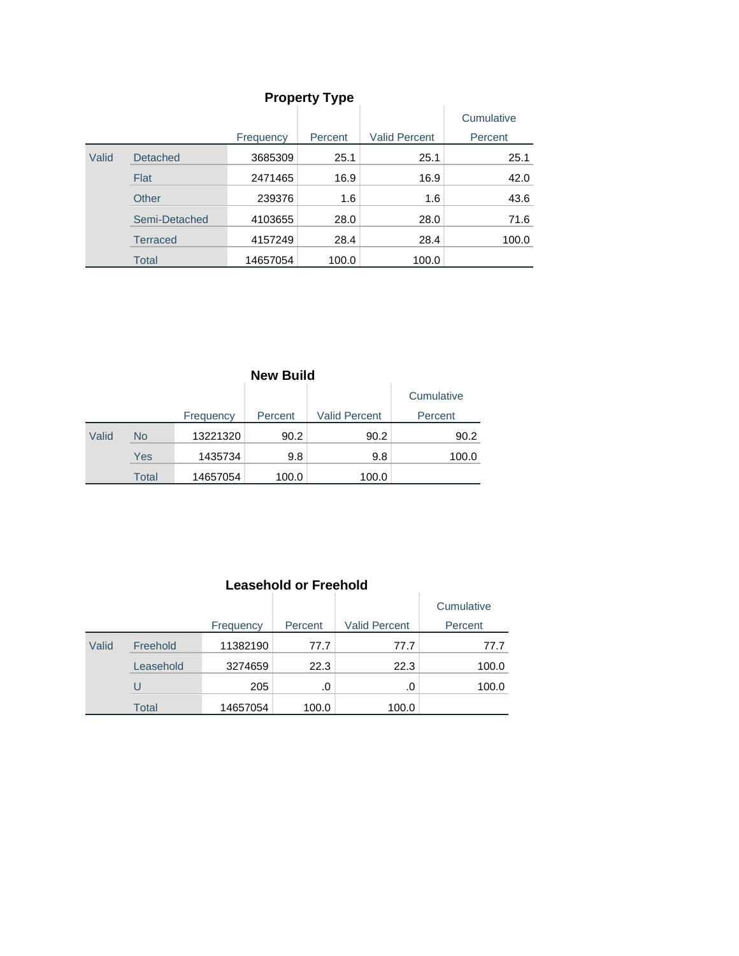| <b>Property Type</b> |                 |           |         |                      |            |  |
|----------------------|-----------------|-----------|---------|----------------------|------------|--|
|                      |                 |           |         |                      | Cumulative |  |
|                      |                 | Frequency | Percent | <b>Valid Percent</b> | Percent    |  |
| Valid                | <b>Detached</b> | 3685309   | 25.1    | 25.1                 | 25.1       |  |
|                      | Flat            | 2471465   | 16.9    | 16.9                 | 42.0       |  |
|                      | Other           | 239376    | 1.6     | 1.6                  | 43.6       |  |
|                      | Semi-Detached   | 4103655   | 28.0    | 28.0                 | 71.6       |  |
|                      | <b>Terraced</b> | 4157249   | 28.4    | 28.4                 | 100.0      |  |
|                      | <b>Total</b>    | 14657054  | 100.0   | 100.0                |            |  |

| <b>New Build</b> |       |           |         |                      |            |
|------------------|-------|-----------|---------|----------------------|------------|
|                  |       |           |         |                      | Cumulative |
|                  |       | Frequency | Percent | <b>Valid Percent</b> | Percent    |
| Valid            | No    | 13221320  | 90.2    | 90.2                 | 90.2       |
|                  | Yes   | 1435734   | 9.8     | 9.8                  | 100.0      |
|                  | Total | 14657054  | 100.0   | 100.0                |            |

|       | Leasenoid or Freenoid |           |         |                      |            |  |
|-------|-----------------------|-----------|---------|----------------------|------------|--|
|       |                       |           |         |                      | Cumulative |  |
|       |                       | Frequency | Percent | <b>Valid Percent</b> | Percent    |  |
| Valid | Freehold              | 11382190  | 77.7    | 77.7                 | 77.7       |  |
|       | Leasehold             | 3274659   | 22.3    | 22.3                 | 100.0      |  |
|       | U                     | 205       | .0      | .0                   | 100.0      |  |
|       | <b>Total</b>          | 14657054  | 100.0   | 100.0                |            |  |

## **Leasehold or Freehold**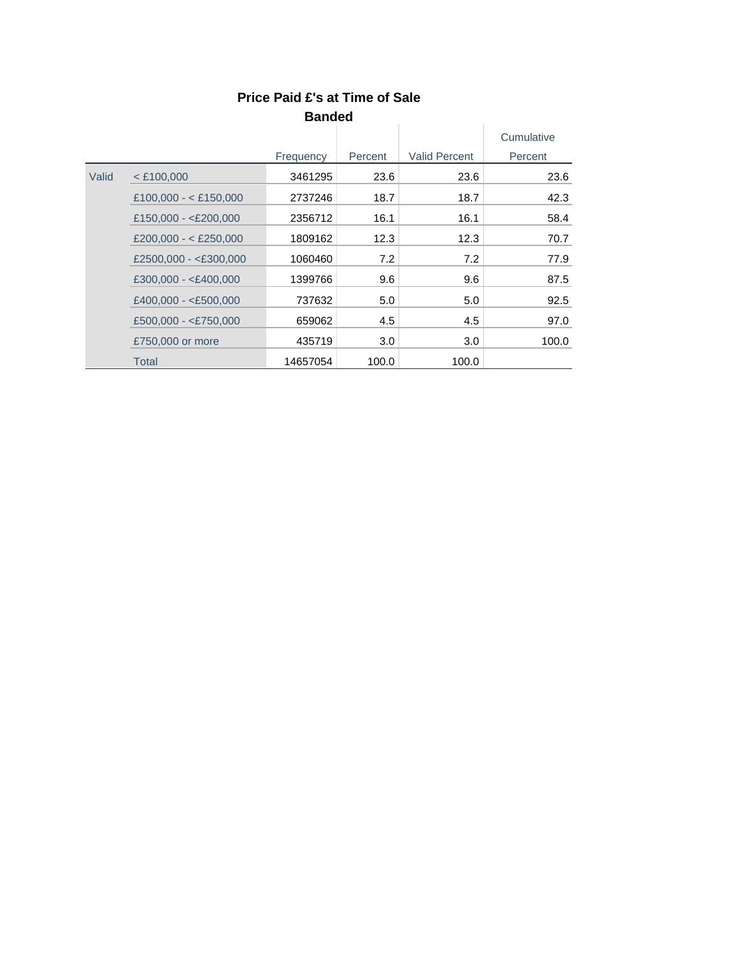|       |                                              |           |         |                      | Cumulative |
|-------|----------------------------------------------|-----------|---------|----------------------|------------|
|       |                                              | Frequency | Percent | <b>Valid Percent</b> | Percent    |
| Valid | $<$ £100,000                                 | 3461295   | 23.6    | 23.6                 | 23.6       |
|       | £100,000 - < £150,000                        | 2737246   | 18.7    | 18.7                 | 42.3       |
|       | £150,000 - $<$ £200,000                      | 2356712   | 16.1    | 16.1                 | 58.4       |
|       | £200,000 - < £250,000                        | 1809162   | 12.3    | 12.3                 | 70.7       |
|       | £2500,000 - <£300,000                        | 1060460   | 7.2     | 7.2                  | 77.9       |
|       | $£300,000 - < £400,000$                      | 1399766   | 9.6     | 9.6                  | 87.5       |
|       | £400,000 - <£500,000<br>£500,000 - <£750,000 | 737632    | 5.0     | 5.0                  | 92.5       |
|       |                                              | 659062    | 4.5     | 4.5                  | 97.0       |
|       | £750,000 or more                             | 435719    | 3.0     | 3.0                  | 100.0      |
|       | Total                                        | 14657054  | 100.0   | 100.0                |            |

#### **Price Paid £'s at Time of Sale Banded Contract Contract**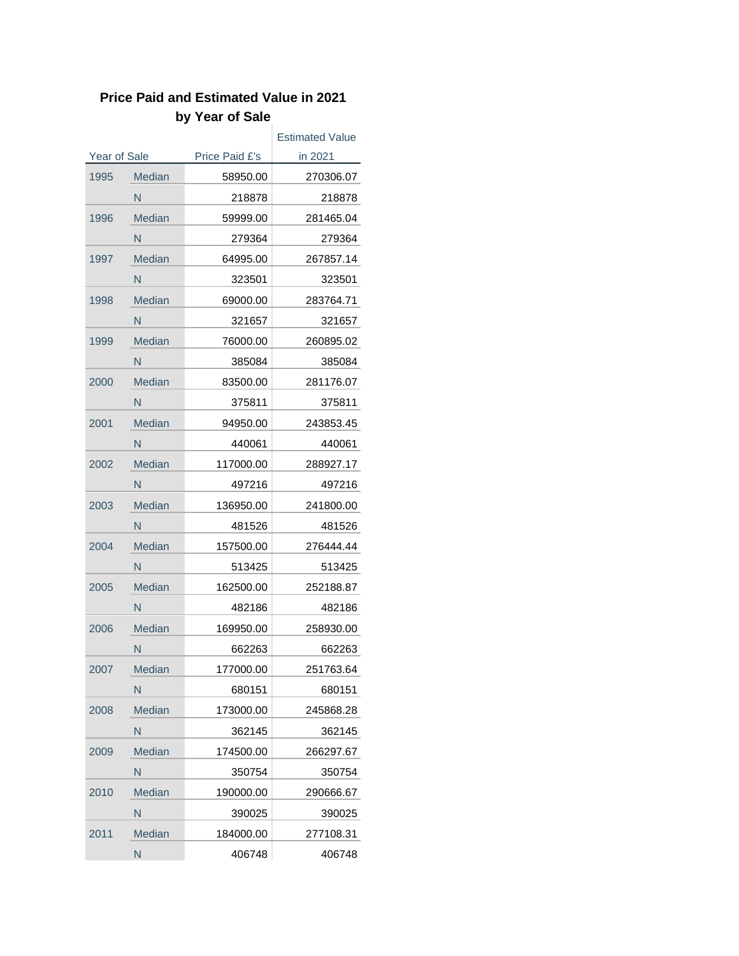# **Price Paid and Estimated Value in 2021 by Year of Sale**

|                     |               |                | <b>Estimated Value</b> |  |
|---------------------|---------------|----------------|------------------------|--|
| <b>Year of Sale</b> |               | Price Paid £'s | in 2021                |  |
| 1995                | Median        | 58950.00       | 270306.07              |  |
|                     | N             | 218878         | 218878                 |  |
| 1996                | <b>Median</b> | 59999.00       | 281465.04              |  |
|                     | N             | 279364         | 279364                 |  |
| 1997                | <b>Median</b> | 64995.00       | 267857.14              |  |
|                     | N             | 323501         | 323501                 |  |
| 1998                | <b>Median</b> | 69000.00       | 283764.71              |  |
|                     | N             | 321657         | 321657                 |  |
| 1999                | <b>Median</b> | 76000.00       | 260895.02              |  |
|                     | N             | 385084         | 385084                 |  |
| 2000                | Median        | 83500.00       | 281176.07              |  |
|                     | N             | 375811         | 375811                 |  |
| 2001                | Median        | 94950.00       | 243853.45              |  |
|                     | N             | 440061         | 440061                 |  |
| 2002                | Median        | 117000.00      | 288927.17              |  |
|                     | N             | 497216         | 497216                 |  |
| 2003                | Median        | 136950.00      | 241800.00              |  |
|                     | N             | 481526         | 481526                 |  |
| 2004                | <b>Median</b> | 157500.00      | 276444.44              |  |
|                     | N             | 513425         | 513425                 |  |
| 2005                | <b>Median</b> | 162500.00      | 252188.87              |  |
|                     | N             | 482186         | 482186                 |  |
| 2006                | Median        | 169950.00      | 258930.00              |  |
|                     | N             | 662263         | 662263                 |  |
| 2007                | <b>Median</b> | 177000.00      | 251763.64              |  |
|                     | N             | 680151         | 680151                 |  |
| 2008                | <b>Median</b> | 173000.00      | 245868.28              |  |
|                     | N             | 362145         | 362145                 |  |
| 2009                | Median        | 174500.00      | 266297.67              |  |
|                     | N             | 350754         | 350754                 |  |
| 2010                | <b>Median</b> | 190000.00      | 290666.67              |  |
|                     | N             | 390025         | 390025                 |  |
| 2011                | <b>Median</b> | 184000.00      | 277108.31              |  |
|                     | N             | 406748         | 406748                 |  |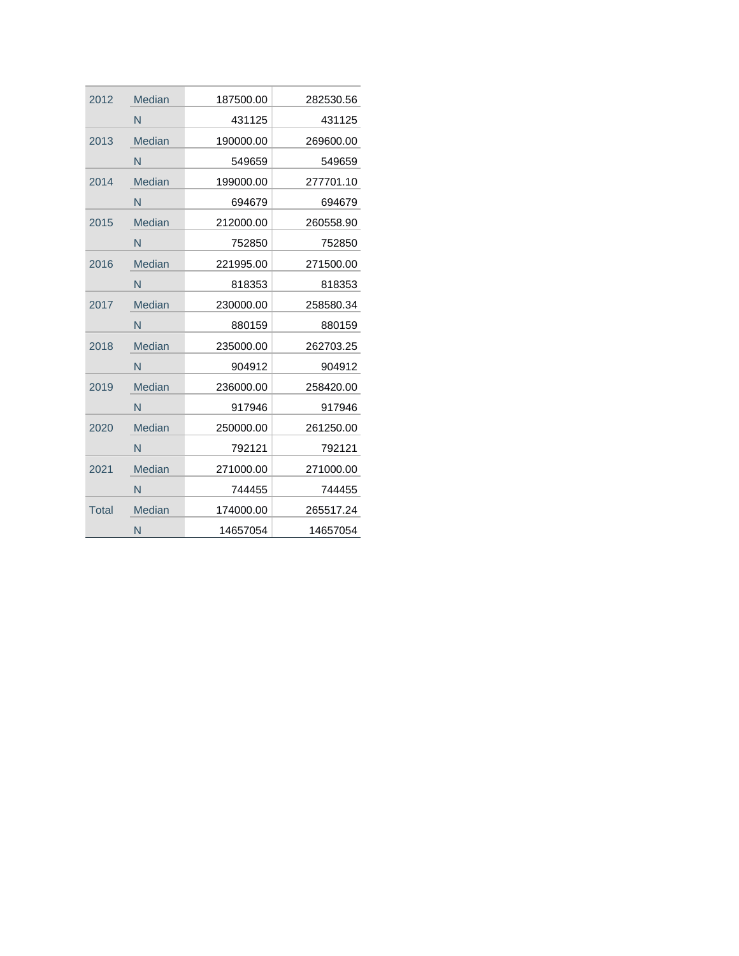| 2012         | Median        | 187500.00 | 282530.56 |
|--------------|---------------|-----------|-----------|
|              | N             | 431125    | 431125    |
| 2013         | Median        | 190000.00 | 269600.00 |
|              | N             | 549659    | 549659    |
| 2014         | Median        | 199000.00 | 277701.10 |
|              | N             | 694679    | 694679    |
| 2015         | Median        | 212000.00 | 260558.90 |
|              | N             | 752850    | 752850    |
| 2016         | Median        | 221995.00 | 271500.00 |
|              | N             | 818353    | 818353    |
| 2017         | Median        | 230000.00 | 258580.34 |
|              | N             | 880159    | 880159    |
| 2018         | Median        | 235000.00 | 262703.25 |
|              | N             | 904912    | 904912    |
| 2019         | Median        | 236000.00 | 258420.00 |
|              | N             | 917946    | 917946    |
| 2020         | Median        | 250000.00 | 261250.00 |
|              | N             | 792121    | 792121    |
| 2021         | <b>Median</b> | 271000.00 | 271000.00 |
|              | N             | 744455    | 744455    |
| <b>Total</b> | <b>Median</b> | 174000.00 | 265517.24 |
|              | N             | 14657054  | 14657054  |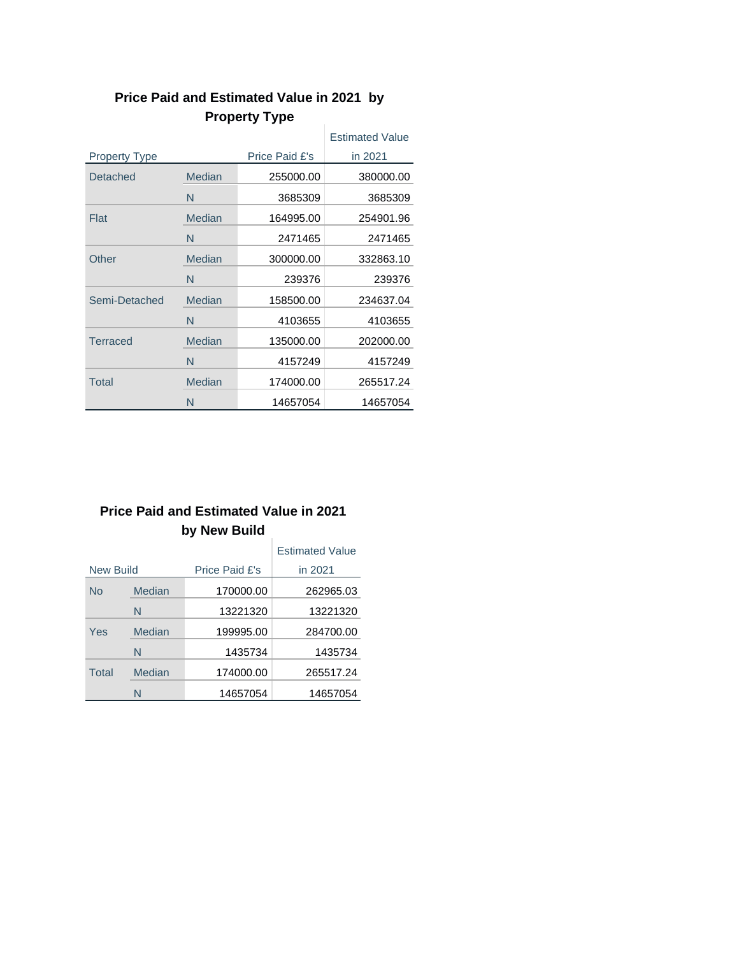|                      |               |                | <b>Estimated Value</b> |
|----------------------|---------------|----------------|------------------------|
| <b>Property Type</b> |               | Price Paid £'s | in 2021                |
| Detached             | Median        | 255000.00      | 380000.00              |
|                      | N             | 3685309        | 3685309                |
| Flat                 | Median        | 164995.00      | 254901.96              |
|                      | N             | 2471465        | 2471465                |
| Other                | Median        | 300000.00      | 332863.10              |
|                      | N             | 239376         | 239376                 |
| Semi-Detached        | Median        | 158500.00      | 234637.04              |
|                      | N             | 4103655        | 4103655                |
| <b>Terraced</b>      | Median        | 135000.00      | 202000.00              |
|                      | N             | 4157249        | 4157249                |
| Total                | <b>Median</b> | 174000.00      | 265517.24              |
|                      | N             | 14657054       | 14657054               |

#### **Price Paid and Estimated Value in 2021 by Property Type**  $\mathcal{A}$

# **Price Paid and Estimated Value in 2021 by New Build**

|                  |        |                | <b>Estimated Value</b> |
|------------------|--------|----------------|------------------------|
| <b>New Build</b> |        | Price Paid £'s | in 2021                |
| No               | Median | 170000.00      | 262965.03              |
|                  | N      | 13221320       | 13221320               |
| Yes              | Median | 199995.00      | 284700.00              |
|                  | N      | 1435734        | 1435734                |
| Total            | Median | 174000.00      | 265517.24              |
|                  | N      | 14657054       | 14657054               |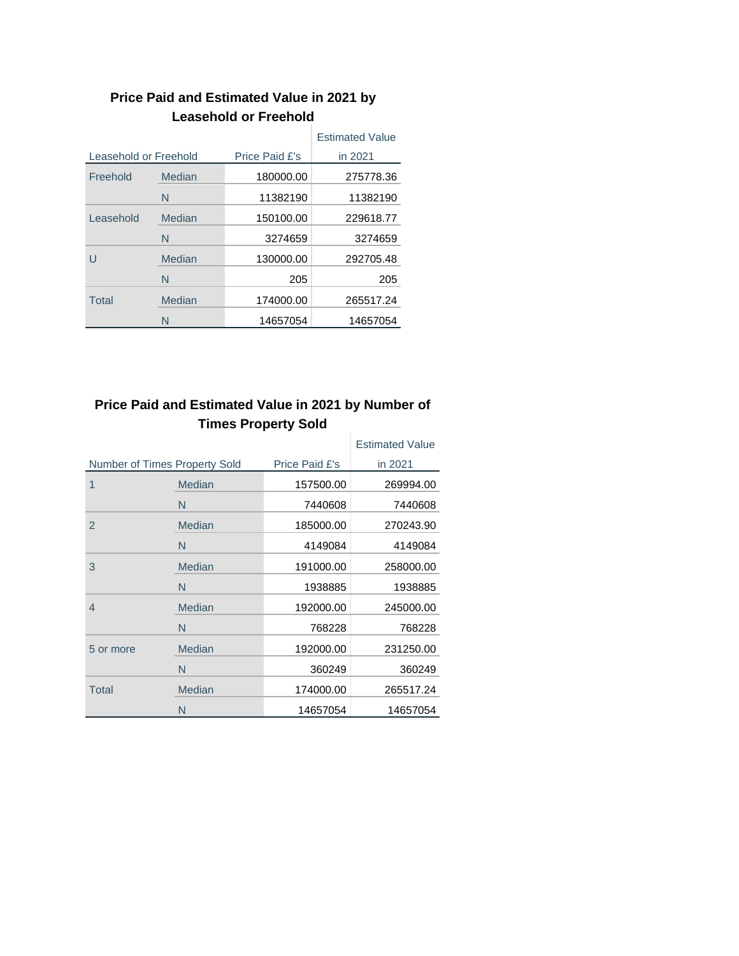|                       |        |                | <b>Estimated Value</b> |
|-----------------------|--------|----------------|------------------------|
| Leasehold or Freehold |        | Price Paid £'s | in 2021                |
| Freehold              | Median | 180000.00      | 275778.36              |
|                       | N      | 11382190       | 11382190               |
| Leasehold             | Median | 150100.00      | 229618.77              |
|                       | N      | 3274659        | 3274659                |
| П                     | Median | 130000.00      | 292705.48              |
|                       | N      | 205            | 205                    |
| Total                 | Median | 174000.00      | 265517.24              |
|                       | N      | 14657054       | 14657054               |

### **Price Paid and Estimated Value in 2021 by Leasehold or Freehold**

#### **Price Paid and Estimated Value in 2021 by Number of Times Property Sold** J.

|                               |               |                | <b>Estimated Value</b> |
|-------------------------------|---------------|----------------|------------------------|
| Number of Times Property Sold |               | Price Paid £'s | in 2021                |
| 1                             | <b>Median</b> | 157500.00      | 269994.00              |
|                               | N             | 7440608        | 7440608                |
| $\overline{2}$                | Median        | 185000.00      | 270243.90              |
|                               | N             | 4149084        | 4149084                |
| 3                             | Median        | 191000.00      | 258000.00              |
|                               | N             | 1938885        | 1938885                |
| 4                             | <b>Median</b> | 192000.00      | 245000.00              |
|                               | N             | 768228         | 768228                 |
| 5 or more                     | Median        | 192000.00      | 231250.00              |
|                               | N             | 360249         | 360249                 |
| Total                         | Median        | 174000.00      | 265517.24              |
|                               | N             | 14657054       | 14657054               |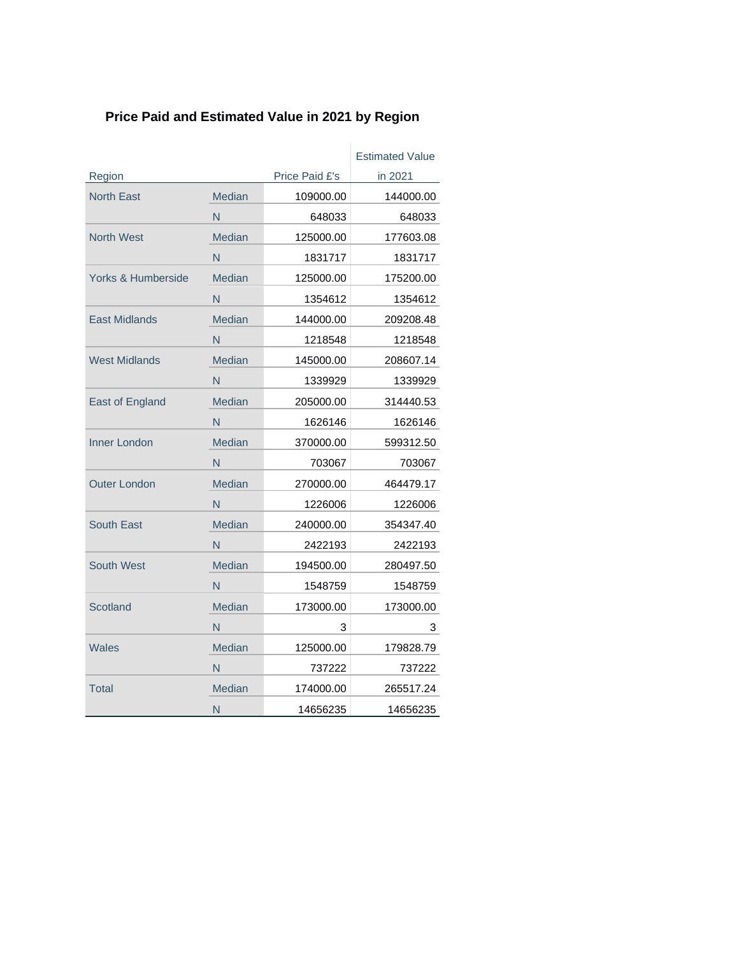# **Price Paid and Estimated Value in 2021 by Region**

|                      |               |                | <b>Estimated Value</b> |
|----------------------|---------------|----------------|------------------------|
| Region               |               | Price Paid £'s | in 2021                |
| <b>North East</b>    | Median        | 109000.00      | 144000.00              |
|                      | N             | 648033         | 648033                 |
| <b>North West</b>    | Median        | 125000.00      | 177603.08              |
|                      | N             | 1831717        | 1831717                |
| Yorks & Humberside   | Median        | 125000.00      | 175200.00              |
|                      | N             | 1354612        | 1354612                |
| <b>East Midlands</b> | Median        | 144000.00      | 209208.48              |
|                      | N             | 1218548        | 1218548                |
| <b>West Midlands</b> | Median        | 145000.00      | 208607.14              |
|                      | N             | 1339929        | 1339929                |
| East of England      | <b>Median</b> | 205000.00      | 314440.53              |
|                      | N             | 1626146        | 1626146                |
| <b>Inner London</b>  | <b>Median</b> | 370000.00      | 599312.50              |
|                      | N             | 703067         | 703067                 |
| <b>Outer London</b>  | Median        | 270000.00      | 464479.17              |
|                      | N             | 1226006        | 1226006                |
| South East           | Median        | 240000.00      | 354347.40              |
|                      | N             | 2422193        | 2422193                |
| South West           | Median        | 194500.00      | 280497.50              |
|                      | N             | 1548759        | 1548759                |
| Scotland             | Median        | 173000.00      | 173000.00              |
|                      | N             | 3              | 3                      |
| Wales                | Median        | 125000.00      | 179828.79              |
|                      | N             | 737222         | 737222                 |
| Total                | Median        | 174000.00      | 265517.24              |
|                      | N             | 14656235       | 14656235               |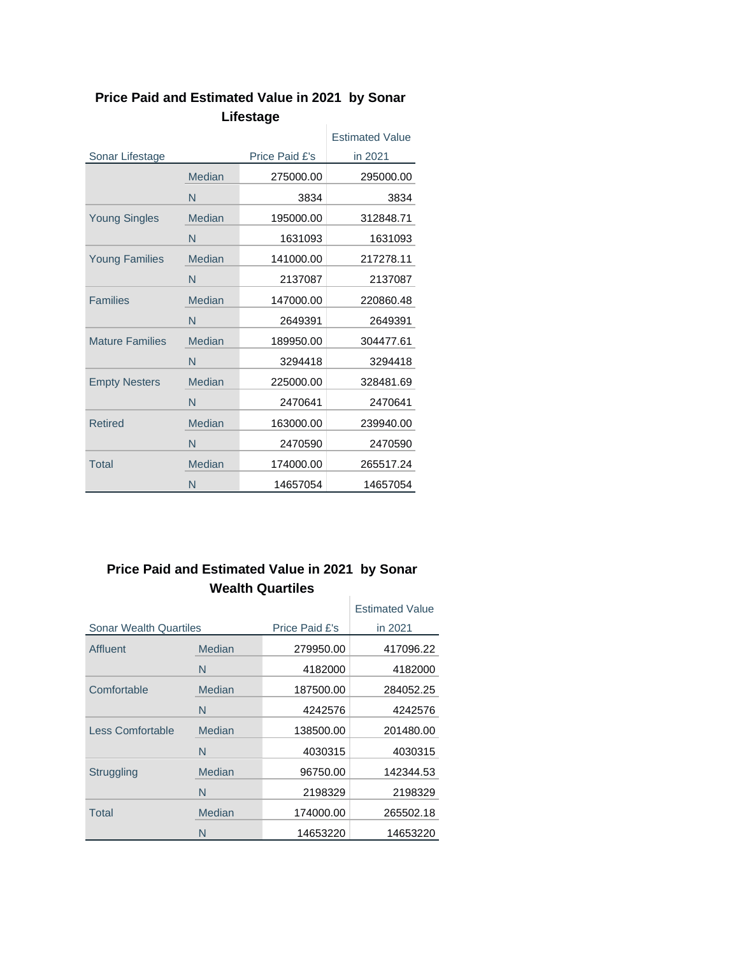|                        |        |                | <b>Estimated Value</b> |
|------------------------|--------|----------------|------------------------|
| Sonar Lifestage        |        | Price Paid £'s | in 2021                |
|                        | Median | 275000.00      | 295000.00              |
|                        | N      | 3834           | 3834                   |
| <b>Young Singles</b>   | Median | 195000.00      | 312848.71              |
|                        | N      | 1631093        | 1631093                |
| <b>Young Families</b>  | Median | 141000.00      | 217278.11              |
|                        | N      | 2137087        | 2137087                |
| <b>Families</b>        | Median | 147000.00      | 220860.48              |
|                        | N      | 2649391        | 2649391                |
| <b>Mature Families</b> | Median | 189950.00      | 304477.61              |
|                        | N      | 3294418        | 3294418                |
| <b>Empty Nesters</b>   | Median | 225000.00      | 328481.69              |
|                        | N      | 2470641        | 2470641                |
| <b>Retired</b>         | Median | 163000.00      | 239940.00              |
|                        | N      | 2470590        | 2470590                |
| Total                  | Median | 174000.00      | 265517.24              |
|                        | N      | 14657054       | 14657054               |

#### **Price Paid and Estimated Value in 2021 by Sonar Lifestage**  $\sim$  10

#### **Price Paid and Estimated Value in 2021 by Sonar Wealth Quartiles** ÷.

|                               |        |                | <b>Estimated Value</b> |
|-------------------------------|--------|----------------|------------------------|
| <b>Sonar Wealth Quartiles</b> |        | Price Paid £'s | in 2021                |
| Affluent                      | Median | 279950.00      | 417096.22              |
|                               | N      | 4182000        | 4182000                |
| Comfortable                   | Median | 187500.00      | 284052.25              |
|                               | N      | 4242576        | 4242576                |
| Less Comfortable              | Median | 138500.00      | 201480.00              |
|                               | N      | 4030315        | 4030315                |
| Struggling                    | Median | 96750.00       | 142344.53              |
|                               | N      | 2198329        | 2198329                |
| Total                         | Median | 174000.00      | 265502.18              |
|                               | N      | 14653220       | 14653220               |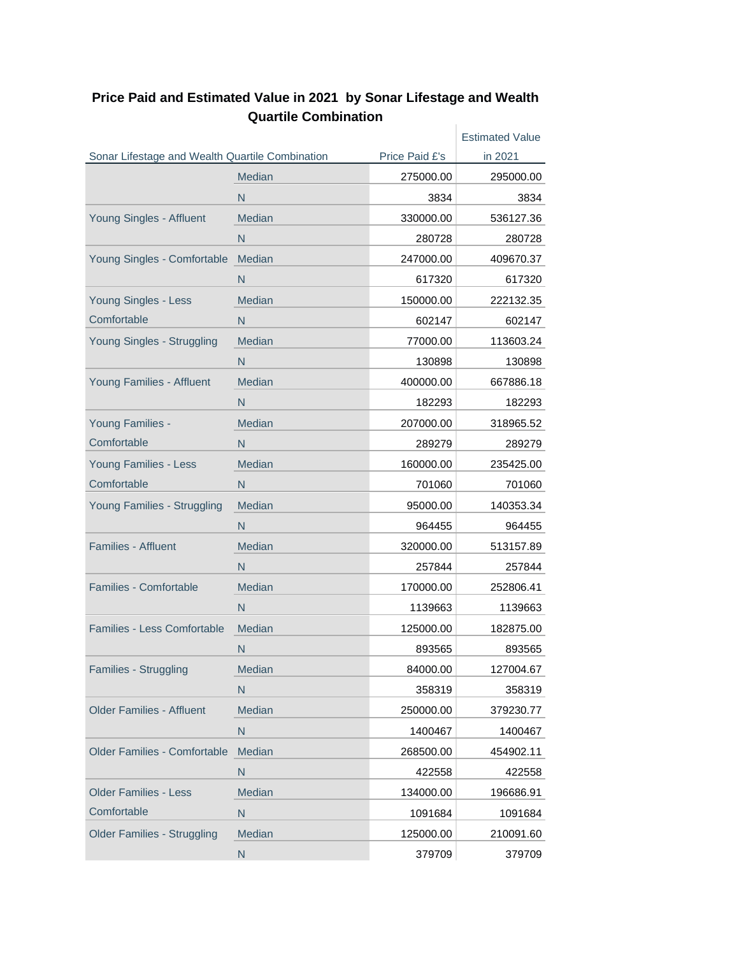|                                                 |               |                | <b>Estimated Value</b> |
|-------------------------------------------------|---------------|----------------|------------------------|
| Sonar Lifestage and Wealth Quartile Combination |               | Price Paid £'s | in 2021                |
|                                                 | <b>Median</b> | 275000.00      | 295000.00              |
|                                                 | N             | 3834           | 3834                   |
| Young Singles - Affluent                        | Median        | 330000.00      | 536127.36              |
|                                                 | N             | 280728         | 280728                 |
| Young Singles - Comfortable                     | Median        | 247000.00      | 409670.37              |
|                                                 | N             | 617320         | 617320                 |
| Young Singles - Less                            | Median        | 150000.00      | 222132.35              |
| Comfortable                                     | N             | 602147         | 602147                 |
| Young Singles - Struggling                      | Median        | 77000.00       | 113603.24              |
|                                                 | N             | 130898         | 130898                 |
| Young Families - Affluent                       | Median        | 400000.00      | 667886.18              |
|                                                 | N             | 182293         | 182293                 |
| Young Families -                                | <b>Median</b> | 207000.00      | 318965.52              |
| Comfortable                                     | N             | 289279         | 289279                 |
| Young Families - Less                           | Median        | 160000.00      | 235425.00              |
| Comfortable                                     | N             | 701060         | 701060                 |
| Young Families - Struggling                     | Median        | 95000.00       | 140353.34              |
|                                                 | N             | 964455         | 964455                 |
| <b>Families - Affluent</b>                      | <b>Median</b> | 320000.00      | 513157.89              |
|                                                 | N             | 257844         | 257844                 |
| <b>Families - Comfortable</b>                   | Median        | 170000.00      | 252806.41              |
|                                                 | N             | 1139663        | 1139663                |
| Families - Less Comfortable                     | Median        | 125000.00      | 182875.00              |
|                                                 | N             | 893565         | 893565                 |
| Families - Struggling                           | Median        | 84000.00       | 127004.67              |
|                                                 | N             | 358319         | 358319                 |
| <b>Older Families - Affluent</b>                | Median        | 250000.00      | 379230.77              |
|                                                 | N             | 1400467        | 1400467                |
| <b>Older Families - Comfortable</b>             | Median        | 268500.00      | 454902.11              |
|                                                 | N.            | 422558         | 422558                 |
| <b>Older Families - Less</b>                    | Median        | 134000.00      | 196686.91              |
| Comfortable                                     | N             | 1091684        | 1091684                |
| <b>Older Families - Struggling</b>              | Median        | 125000.00      | 210091.60              |
|                                                 | N.            | 379709         | 379709                 |
|                                                 |               |                |                        |

#### **Price Paid and Estimated Value in 2021 by Sonar Lifestage and Wealth Quartile Combination**  $\sim 1$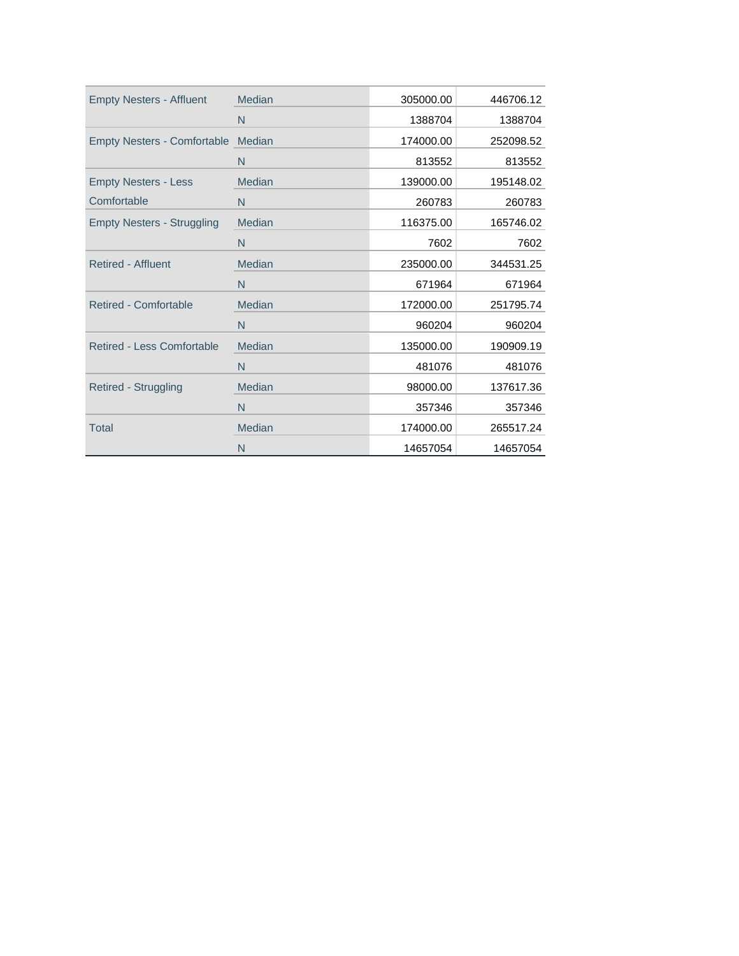| <b>Empty Nesters - Affluent</b>    | Median        | 305000.00 | 446706.12 |
|------------------------------------|---------------|-----------|-----------|
|                                    | N             | 1388704   | 1388704   |
| Empty Nesters - Comfortable Median |               | 174000.00 | 252098.52 |
|                                    | N             | 813552    | 813552    |
| <b>Empty Nesters - Less</b>        | Median        | 139000.00 | 195148.02 |
| Comfortable                        | N             | 260783    | 260783    |
| <b>Empty Nesters - Struggling</b>  | Median        | 116375.00 | 165746.02 |
|                                    | N             | 7602      | 7602      |
| <b>Retired - Affluent</b>          | Median        | 235000.00 | 344531.25 |
|                                    | N             | 671964    | 671964    |
| <b>Retired - Comfortable</b>       | Median        | 172000.00 | 251795.74 |
|                                    | N             | 960204    | 960204    |
| <b>Retired - Less Comfortable</b>  | <b>Median</b> | 135000.00 | 190909.19 |
|                                    | N             | 481076    | 481076    |
| <b>Retired - Struggling</b>        | Median        | 98000.00  | 137617.36 |
|                                    | N             | 357346    | 357346    |
| <b>Total</b>                       | Median        | 174000.00 | 265517.24 |
|                                    | N             | 14657054  | 14657054  |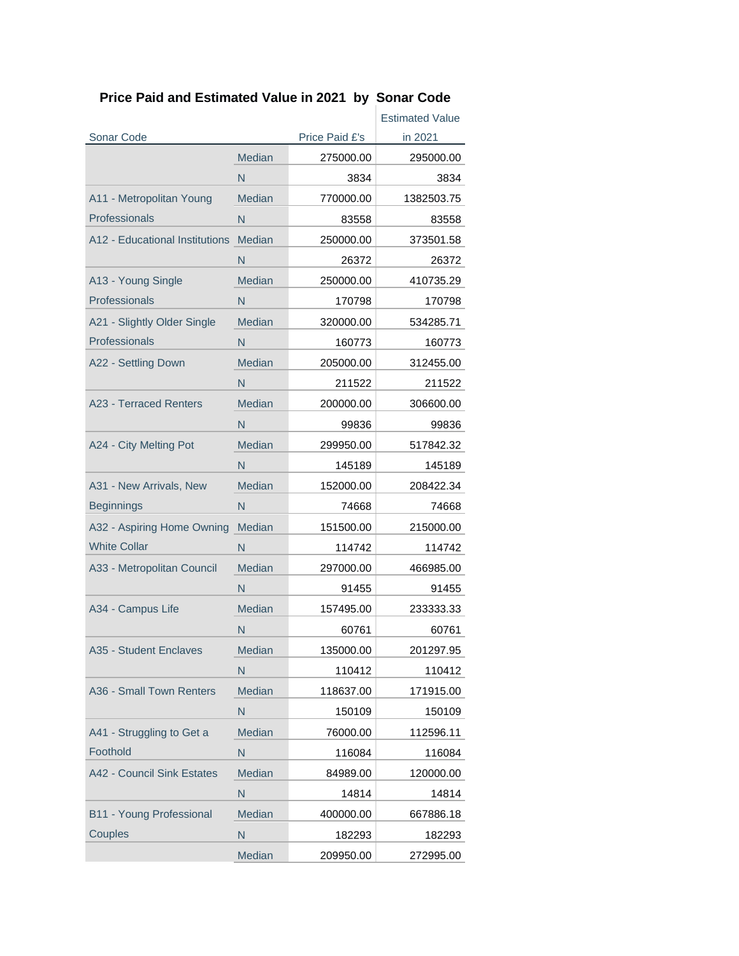# **Price Paid and Estimated Value in 2021 by Sonar Code**

|                                       |               |                | <b>Estimated Value</b> |
|---------------------------------------|---------------|----------------|------------------------|
| Sonar Code                            |               | Price Paid £'s | in 2021                |
|                                       | <b>Median</b> | 275000.00      | 295000.00              |
|                                       | N             | 3834           | 3834                   |
| A11 - Metropolitan Young              | <b>Median</b> | 770000.00      | 1382503.75             |
| Professionals                         | N             | 83558          | 83558                  |
| A12 - Educational Institutions Median |               | 250000.00      | 373501.58              |
|                                       | N             | 26372          | 26372                  |
| A13 - Young Single                    | Median        | 250000.00      | 410735.29              |
| Professionals                         | $\mathsf{N}$  | 170798         | 170798                 |
| A21 - Slightly Older Single           | Median        | 320000.00      | 534285.71              |
| Professionals                         | N             | 160773         | 160773                 |
| A22 - Settling Down                   | Median        | 205000.00      | 312455.00              |
|                                       | N             | 211522         | 211522                 |
| A23 - Terraced Renters                | Median        | 200000.00      | 306600.00              |
|                                       | N             | 99836          | 99836                  |
| A24 - City Melting Pot                | Median        | 299950.00      | 517842.32              |
|                                       | N             | 145189         | 145189                 |
| A31 - New Arrivals, New               | Median        | 152000.00      | 208422.34              |
| <b>Beginnings</b>                     | N             | 74668          | 74668                  |
| A32 - Aspiring Home Owning            | Median        | 151500.00      | 215000.00              |
| <b>White Collar</b>                   | N             | 114742         | 114742                 |
| A33 - Metropolitan Council            | Median        | 297000.00      | 466985.00              |
|                                       | N             | 91455          | 91455                  |
| A34 - Campus Life                     | Median        | 157495.00      | 233333.33              |
|                                       | $\mathsf{N}$  | 60761          | 60761                  |
| A35 - Student Enclaves                | Median        | 135000.00      | 201297.95              |
|                                       | N             | 110412         | 110412                 |
| A36 - Small Town Renters              | Median        | 118637.00      | 171915.00              |
|                                       | $\mathsf{N}$  | 150109         | 150109                 |
| A41 - Struggling to Get a             | Median        | 76000.00       | 112596.11              |
| Foothold                              | N             | 116084         | 116084                 |
| A42 - Council Sink Estates            | Median        | 84989.00       | 120000.00              |
|                                       | ${\sf N}$     | 14814          | 14814                  |
| B11 - Young Professional              | Median        | 400000.00      | 667886.18              |
| Couples                               | $\mathsf{N}$  | 182293         | 182293                 |
|                                       | Median        | 209950.00      | 272995.00              |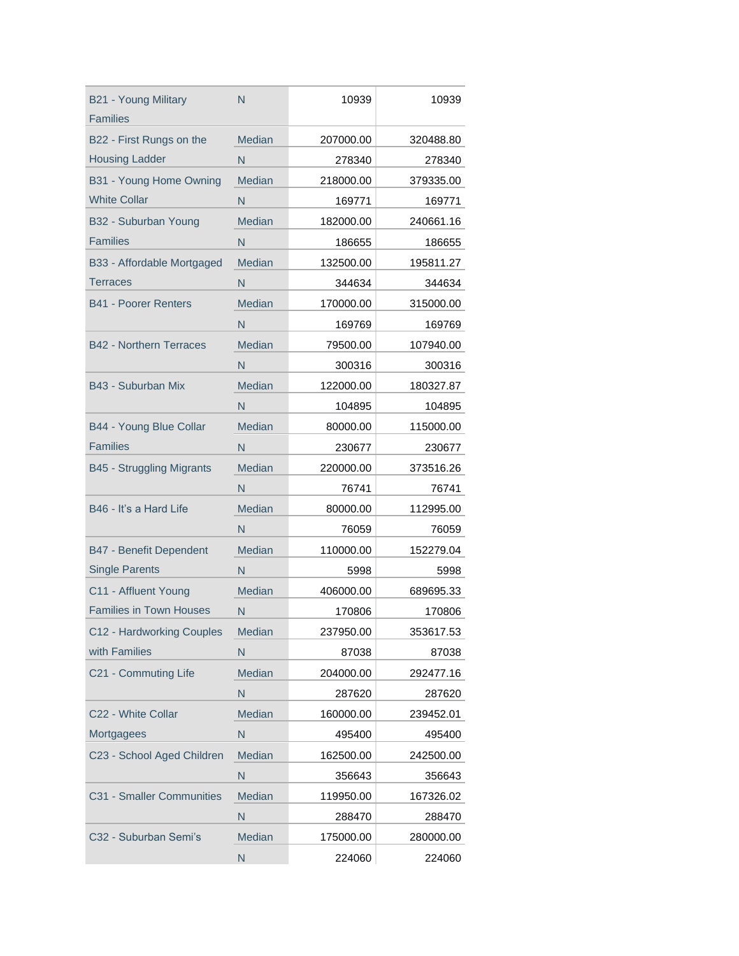| B21 - Young Military<br><b>Families</b> | N             | 10939     | 10939     |
|-----------------------------------------|---------------|-----------|-----------|
| B22 - First Rungs on the                | Median        | 207000.00 | 320488.80 |
| <b>Housing Ladder</b>                   | N             | 278340    | 278340    |
| B31 - Young Home Owning                 | Median        | 218000.00 | 379335.00 |
| <b>White Collar</b>                     | N             | 169771    | 169771    |
| B32 - Suburban Young                    | Median        | 182000.00 | 240661.16 |
| <b>Families</b>                         | N             | 186655    | 186655    |
| B33 - Affordable Mortgaged              | <b>Median</b> | 132500.00 | 195811.27 |
| Terraces                                | N             | 344634    | 344634    |
| <b>B41 - Poorer Renters</b>             | <b>Median</b> | 170000.00 | 315000.00 |
|                                         | N             | 169769    | 169769    |
| <b>B42 - Northern Terraces</b>          | Median        | 79500.00  | 107940.00 |
|                                         | N             | 300316    | 300316    |
| B43 - Suburban Mix                      | Median        | 122000.00 | 180327.87 |
|                                         | N             | 104895    | 104895    |
| B44 - Young Blue Collar                 | Median        | 80000.00  | 115000.00 |
| <b>Families</b>                         | N             | 230677    | 230677    |
| B45 - Struggling Migrants               | Median        | 220000.00 | 373516.26 |
|                                         | N             | 76741     | 76741     |
| B46 - It's a Hard Life                  | <b>Median</b> | 80000.00  | 112995.00 |
|                                         | N             | 76059     | 76059     |
| <b>B47 - Benefit Dependent</b>          | Median        | 110000.00 | 152279.04 |
| <b>Single Parents</b>                   | N             | 5998      | 5998      |
| C11 - Affluent Young                    | Median        | 406000.00 | 689695.33 |
| <b>Families in Town Houses</b>          | N             | 170806    | 170806    |
| C12 - Hardworking Couples               | Median        | 237950.00 | 353617.53 |
| with Families                           | N             | 87038     | 87038     |
| C21 - Commuting Life                    | Median        | 204000.00 | 292477.16 |
|                                         | N             | 287620    | 287620    |
| C22 - White Collar                      | Median        | 160000.00 | 239452.01 |
| Mortgagees                              | N             | 495400    | 495400    |
| C23 - School Aged Children              | Median        | 162500.00 | 242500.00 |
|                                         | N             | 356643    | 356643    |
| C31 - Smaller Communities               | Median        | 119950.00 | 167326.02 |
|                                         | N             | 288470    | 288470    |
| C32 - Suburban Semi's                   | Median        | 175000.00 | 280000.00 |
|                                         | N             | 224060    | 224060    |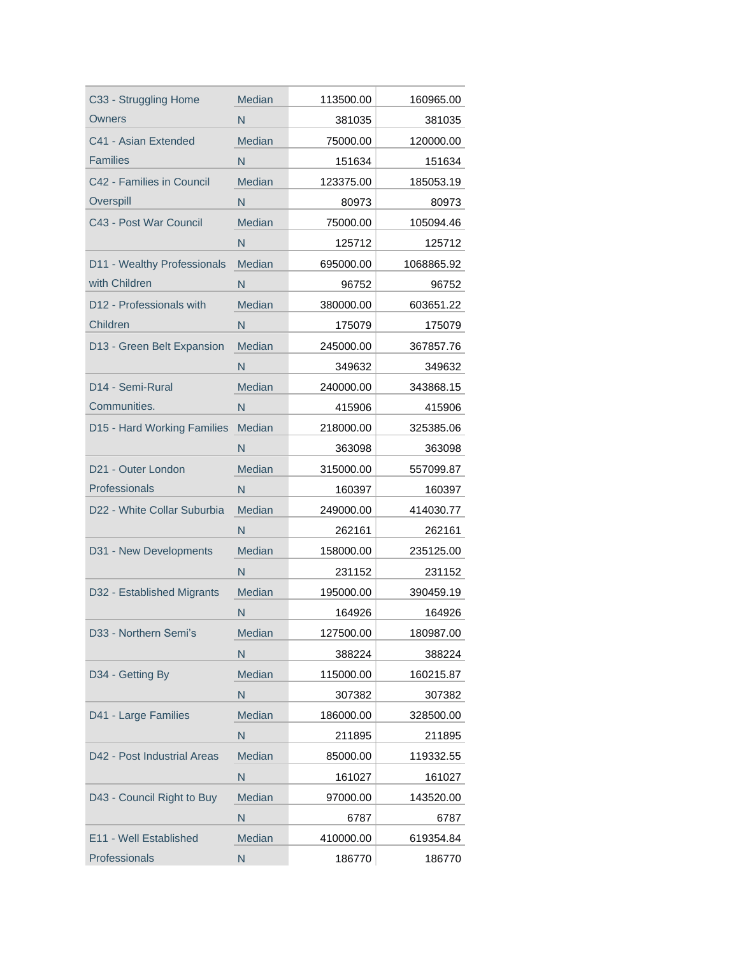| C33 - Struggling Home        | Median        | 113500.00 | 160965.00  |
|------------------------------|---------------|-----------|------------|
| Owners                       | N             | 381035    | 381035     |
| C41 - Asian Extended         | Median        | 75000.00  | 120000.00  |
| <b>Families</b>              | N             | 151634    | 151634     |
| C42 - Families in Council    | Median        | 123375.00 | 185053.19  |
| Overspill                    | N             | 80973     | 80973      |
| C43 - Post War Council       | Median        | 75000.00  | 105094.46  |
|                              | N             | 125712    | 125712     |
| D11 - Wealthy Professionals  | Median        | 695000.00 | 1068865.92 |
| with Children                | N             | 96752     | 96752      |
| D12 - Professionals with     | Median        | 380000.00 | 603651.22  |
| Children                     | N             | 175079    | 175079     |
| D13 - Green Belt Expansion   | Median        | 245000.00 | 367857.76  |
|                              | N             | 349632    | 349632     |
| D <sub>14</sub> - Semi-Rural | <b>Median</b> | 240000.00 | 343868.15  |
| Communities.                 | N             | 415906    | 415906     |
| D15 - Hard Working Families  | Median        | 218000.00 | 325385.06  |
|                              | N             | 363098    | 363098     |
| D21 - Outer London           | Median        | 315000.00 | 557099.87  |
| Professionals                | N             | 160397    | 160397     |
| D22 - White Collar Suburbia  | Median        | 249000.00 | 414030.77  |
|                              | N             | 262161    | 262161     |
| D31 - New Developments       | Median        | 158000.00 | 235125.00  |
|                              | N             | 231152    | 231152     |
| D32 - Established Migrants   | Median        | 195000.00 | 390459.19  |
|                              | N             | 164926    | 164926     |
| D33 - Northern Semi's        | Median        | 127500.00 | 180987.00  |
|                              | N             | 388224    | 388224     |
| D34 - Getting By             | Median        | 115000.00 | 160215.87  |
|                              | N             | 307382    | 307382     |
| D41 - Large Families         | Median        | 186000.00 | 328500.00  |
|                              | N             | 211895    | 211895     |
| D42 - Post Industrial Areas  | Median        | 85000.00  | 119332.55  |
|                              | N             | 161027    | 161027     |
| D43 - Council Right to Buy   | Median        | 97000.00  | 143520.00  |
|                              | N             | 6787      | 6787       |
| E11 - Well Established       | Median        | 410000.00 | 619354.84  |
| Professionals                | N             | 186770    | 186770     |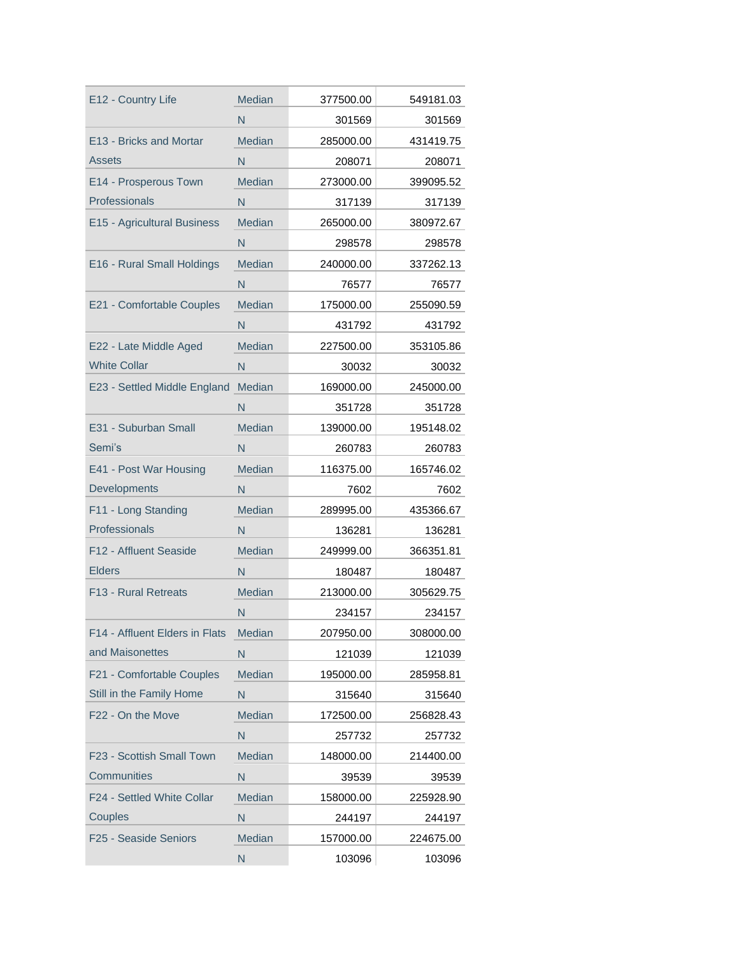| E12 - Country Life             | <b>Median</b> | 377500.00 | 549181.03 |
|--------------------------------|---------------|-----------|-----------|
|                                | N             | 301569    | 301569    |
| E13 - Bricks and Mortar        | Median        | 285000.00 | 431419.75 |
| Assets                         | N             | 208071    | 208071    |
| E14 - Prosperous Town          | <b>Median</b> | 273000.00 | 399095.52 |
| Professionals                  | N             | 317139    | 317139    |
| E15 - Agricultural Business    | <b>Median</b> | 265000.00 | 380972.67 |
|                                | N             | 298578    | 298578    |
| E16 - Rural Small Holdings     | <b>Median</b> | 240000.00 | 337262.13 |
|                                | N             | 76577     | 76577     |
| E21 - Comfortable Couples      | <b>Median</b> | 175000.00 | 255090.59 |
|                                | N             | 431792    | 431792    |
| E22 - Late Middle Aged         | <b>Median</b> | 227500.00 | 353105.86 |
| <b>White Collar</b>            | N             | 30032     | 30032     |
| E23 - Settled Middle England   | Median        | 169000.00 | 245000.00 |
|                                | N             | 351728    | 351728    |
| E31 - Suburban Small           | Median        | 139000.00 | 195148.02 |
| Semi's                         | N             | 260783    | 260783    |
| E41 - Post War Housing         | Median        | 116375.00 | 165746.02 |
| Developments                   | N             | 7602      | 7602      |
| F11 - Long Standing            | Median        | 289995.00 | 435366.67 |
| Professionals                  | N             | 136281    | 136281    |
| F12 - Affluent Seaside         | Median        | 249999.00 | 366351.81 |
| <b>Elders</b>                  | N             | 180487    | 180487    |
| <b>F13 - Rural Retreats</b>    | Median        | 213000.00 | 305629.75 |
|                                | N             | 234157    | 234157    |
| F14 - Affluent Elders in Flats | Median        | 207950.00 | 308000.00 |
| and Maisonettes                | N             | 121039    | 121039    |
| F21 - Comfortable Couples      | Median        | 195000.00 | 285958.81 |
| Still in the Family Home       | N             | 315640    | 315640    |
| F22 - On the Move              | Median        | 172500.00 | 256828.43 |
|                                | N             | 257732    | 257732    |
| F23 - Scottish Small Town      | Median        | 148000.00 | 214400.00 |
| <b>Communities</b>             | N             | 39539     | 39539     |
| F24 - Settled White Collar     | Median        | 158000.00 | 225928.90 |
| Couples                        | N             | 244197    | 244197    |
| F25 - Seaside Seniors          | Median        | 157000.00 | 224675.00 |
|                                | N             | 103096    | 103096    |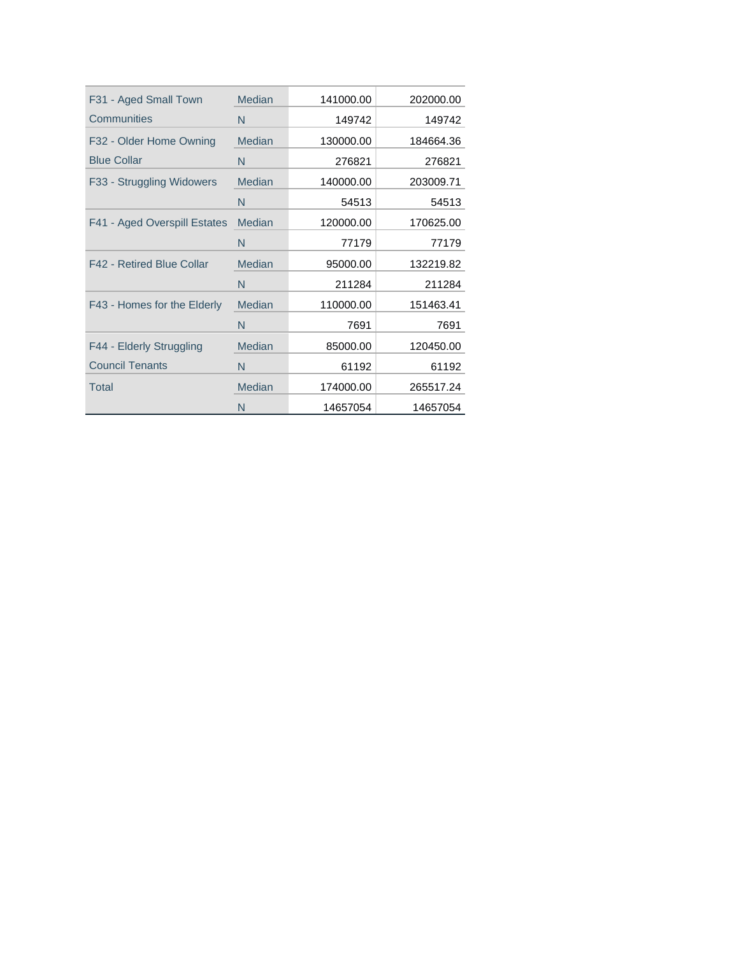| F31 - Aged Small Town        | <b>Median</b> | 141000.00 | 202000.00 |
|------------------------------|---------------|-----------|-----------|
| <b>Communities</b>           | N             | 149742    | 149742    |
| F32 - Older Home Owning      | <b>Median</b> | 130000.00 | 184664.36 |
| <b>Blue Collar</b>           | N             | 276821    | 276821    |
| F33 - Struggling Widowers    | Median        | 140000.00 | 203009.71 |
|                              | N             | 54513     | 54513     |
| F41 - Aged Overspill Estates | <b>Median</b> | 120000.00 | 170625.00 |
|                              | N             | 77179     | 77179     |
| F42 - Retired Blue Collar    | <b>Median</b> | 95000.00  | 132219.82 |
|                              | N             | 211284    | 211284    |
| F43 - Homes for the Elderly  | <b>Median</b> | 110000.00 | 151463.41 |
|                              | N             | 7691      | 7691      |
| F44 - Elderly Struggling     | Median        | 85000.00  | 120450.00 |
| <b>Council Tenants</b>       | N             | 61192     | 61192     |
| Total                        | <b>Median</b> | 174000.00 | 265517.24 |
|                              | N             | 14657054  | 14657054  |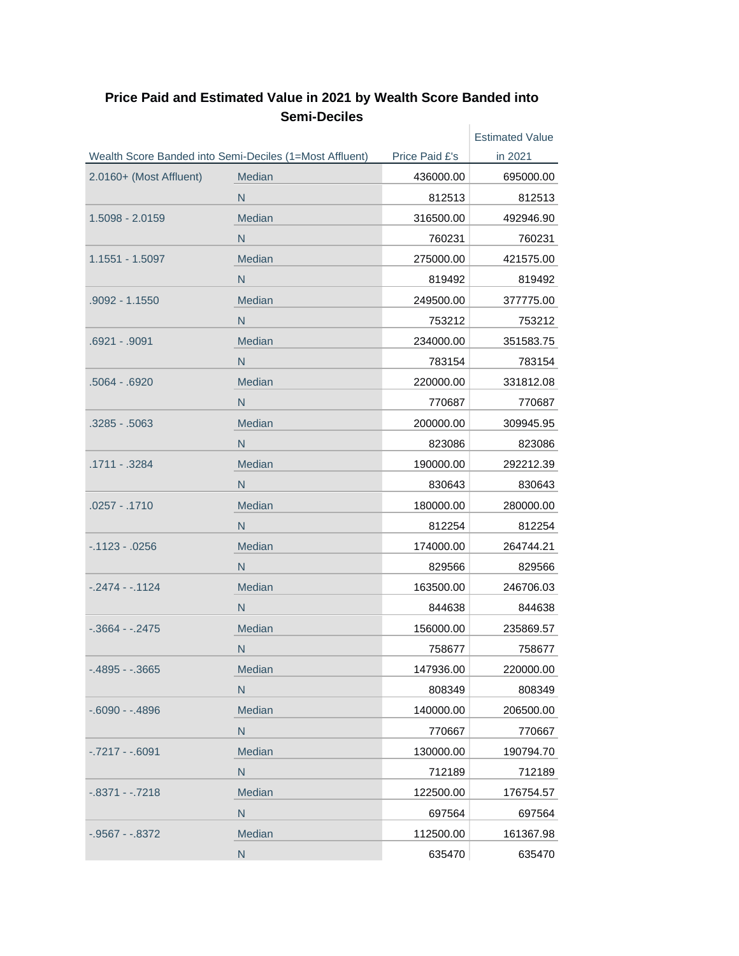|                         |                                                         |                | <b>Estimated Value</b> |
|-------------------------|---------------------------------------------------------|----------------|------------------------|
|                         | Wealth Score Banded into Semi-Deciles (1=Most Affluent) | Price Paid £'s | in 2021                |
| 2.0160+ (Most Affluent) | Median                                                  | 436000.00      | 695000.00              |
|                         | N                                                       | 812513         | 812513                 |
| 1.5098 - 2.0159         | Median                                                  | 316500.00      | 492946.90              |
|                         | N                                                       | 760231         | 760231                 |
| 1.1551 - 1.5097         | Median                                                  | 275000.00      | 421575.00              |
|                         | N                                                       | 819492         | 819492                 |
| .9092 - 1.1550          | Median                                                  | 249500.00      | 377775.00              |
|                         | N                                                       | 753212         | 753212                 |
| .6921 - .9091           | Median                                                  | 234000.00      | 351583.75              |
|                         | N                                                       | 783154         | 783154                 |
| .5064 - .6920           | Median                                                  | 220000.00      | 331812.08              |
|                         | N                                                       | 770687         | 770687                 |
| .3285 - .5063           | Median                                                  | 200000.00      | 309945.95              |
|                         | N                                                       | 823086         | 823086                 |
| .1711 - .3284           | Median                                                  | 190000.00      | 292212.39              |
|                         | N                                                       | 830643         | 830643                 |
| .0257 - .1710           | Median                                                  | 180000.00      | 280000.00              |
|                         | N                                                       | 812254         | 812254                 |
| $-.1123 - .0256$        | Median                                                  | 174000.00      | 264744.21              |
|                         | N                                                       | 829566         | 829566                 |
| $-2474 - 1124$          | Median                                                  | 163500.00      | 246706.03              |
|                         | N                                                       | 844638         | 844638                 |
| $-0.3664 - 0.2475$      | Median                                                  | 156000.00      | 235869.57              |
|                         | N                                                       | 758677         | 758677                 |
| $-0.4895 - 0.3665$      | Median                                                  | 147936.00      | 220000.00              |
|                         | $\mathsf{N}$                                            | 808349         | 808349                 |
| $-0.6090 - 0.4896$      | Median                                                  | 140000.00      | 206500.00              |
|                         | $\mathsf{N}$                                            | 770667         | 770667                 |
| $-0.7217 - 0.6091$      | Median                                                  | 130000.00      | 190794.70              |
|                         | N                                                       | 712189         | 712189                 |
| $-.8371 - .7218$        | Median                                                  | 122500.00      | 176754.57              |
|                         | N                                                       | 697564         | 697564                 |
| $-0.9567 - 0.8372$      | Median                                                  | 112500.00      | 161367.98              |
|                         | ${\sf N}$                                               | 635470         | 635470                 |

## **Price Paid and Estimated Value in 2021 by Wealth Score Banded into Semi-Deciles**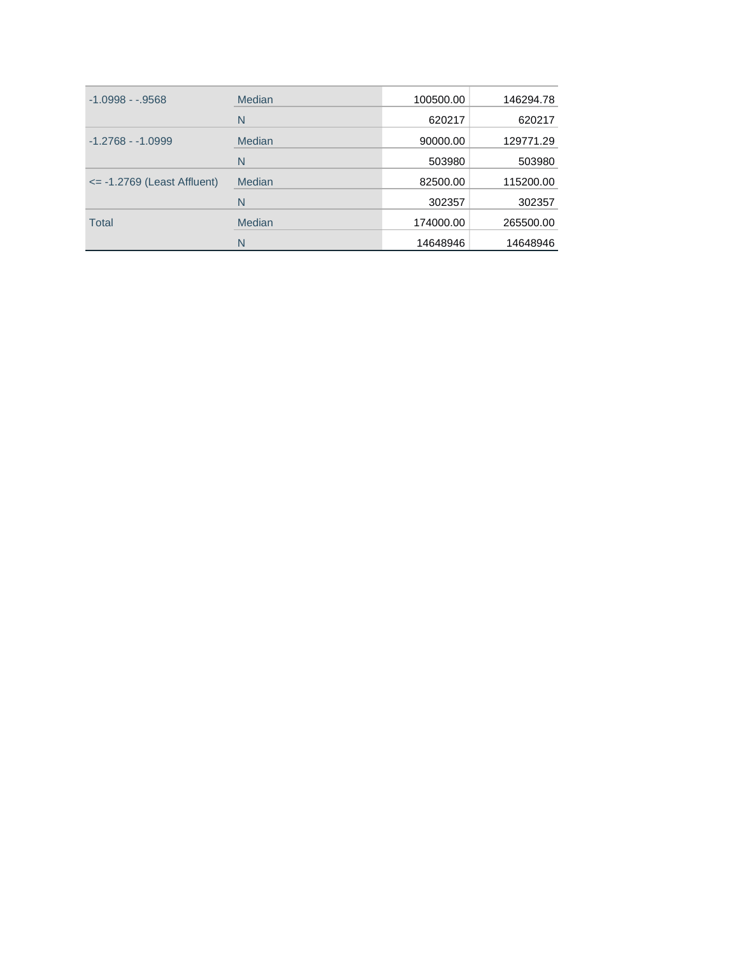| $-1.0998 - .9568$                     | Median | 100500.00 | 146294.78 |
|---------------------------------------|--------|-----------|-----------|
|                                       | N      | 620217    | 620217    |
| $-1.2768 - 1.0999$                    | Median | 90000.00  | 129771.29 |
|                                       | N      | 503980    | 503980    |
| $\epsilon$ = -1.2769 (Least Affluent) | Median | 82500.00  | 115200.00 |
|                                       | N      | 302357    | 302357    |
| <b>Total</b>                          | Median | 174000.00 | 265500.00 |
|                                       | N      | 14648946  | 14648946  |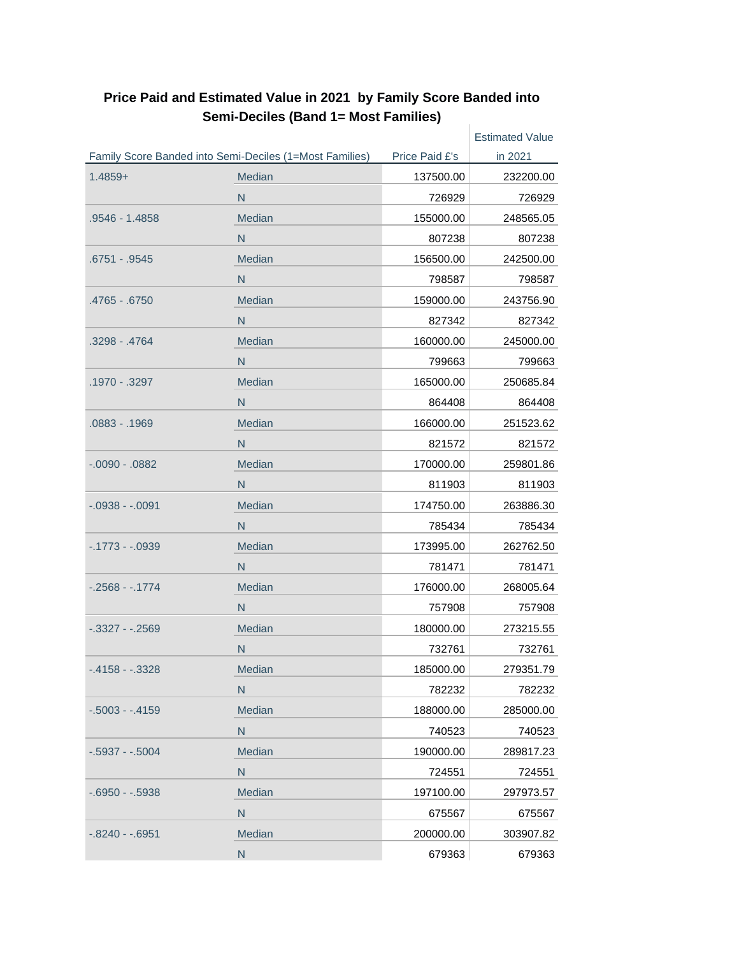|                    |                                                         |                | <b>Estimated Value</b> |
|--------------------|---------------------------------------------------------|----------------|------------------------|
|                    | Family Score Banded into Semi-Deciles (1=Most Families) | Price Paid £'s | in 2021                |
| $1.4859+$          | Median                                                  | 137500.00      | 232200.00              |
|                    | N                                                       | 726929         | 726929                 |
| .9546 - 1.4858     | Median                                                  | 155000.00      | 248565.05              |
|                    | N                                                       | 807238         | 807238                 |
| .6751 - .9545      | Median                                                  | 156500.00      | 242500.00              |
|                    | N                                                       | 798587         | 798587                 |
| .4765 - .6750      | Median                                                  | 159000.00      | 243756.90              |
|                    | N                                                       | 827342         | 827342                 |
| .3298 - .4764      | Median                                                  | 160000.00      | 245000.00              |
|                    | N                                                       | 799663         | 799663                 |
| .1970 - .3297      | Median                                                  | 165000.00      | 250685.84              |
|                    | N                                                       | 864408         | 864408                 |
| .0883 - .1969      | Median                                                  | 166000.00      | 251523.62              |
|                    | N                                                       | 821572         | 821572                 |
| $-0.090 - 0.0882$  | Median                                                  | 170000.00      | 259801.86              |
|                    | N                                                       | 811903         | 811903                 |
| $-.0938 - .0091$   | Median                                                  | 174750.00      | 263886.30              |
|                    | N                                                       | 785434         | 785434                 |
| $-0.1773 - 0.0939$ | Median                                                  | 173995.00      | 262762.50              |
|                    | N                                                       | 781471         | 781471                 |
| $-.2568 - .1774$   | Median                                                  | 176000.00      | 268005.64              |
|                    | N                                                       | 757908         | 757908                 |
| $-0.3327 - 0.2569$ | Median                                                  | 180000.00      | 273215.55              |
|                    | N                                                       | 732761         | 732761                 |
| $-4158 - 3328$     | Median                                                  | 185000.00      | 279351.79              |
|                    | N                                                       | 782232         | 782232                 |
| $-0.5003 - 0.4159$ | Median                                                  | 188000.00      | 285000.00              |
|                    | N                                                       | 740523         | 740523                 |
| $-0.5937 - 0.5004$ | Median                                                  | 190000.00      | 289817.23              |
|                    | N                                                       | 724551         | 724551                 |
| $-0.6950 - 0.5938$ | Median                                                  | 197100.00      | 297973.57              |
|                    | ${\sf N}$                                               | 675567         | 675567                 |
| $-0.8240 - 0.6951$ | Median                                                  | 200000.00      | 303907.82              |
|                    | N                                                       | 679363         | 679363                 |

#### **Price Paid and Estimated Value in 2021 by Family Score Banded into Semi-Deciles (Band 1= Most Families)** Ŷ.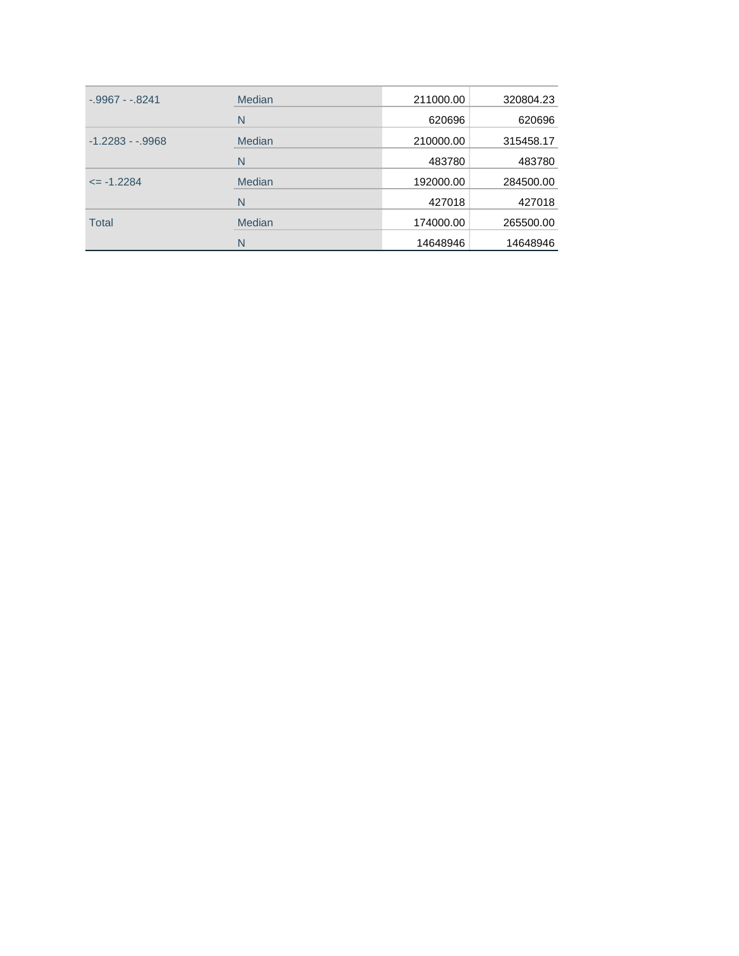| $-0.9967 - 0.8241$ | Median | 211000.00 | 320804.23 |
|--------------------|--------|-----------|-----------|
|                    | N      | 620696    | 620696    |
| $-1.2283 - .9968$  | Median | 210000.00 | 315458.17 |
|                    | N      | 483780    | 483780    |
| $\le$ -1.2284      | Median | 192000.00 | 284500.00 |
|                    | N      | 427018    | 427018    |
| <b>Total</b>       | Median | 174000.00 | 265500.00 |
|                    | N      | 14648946  | 14648946  |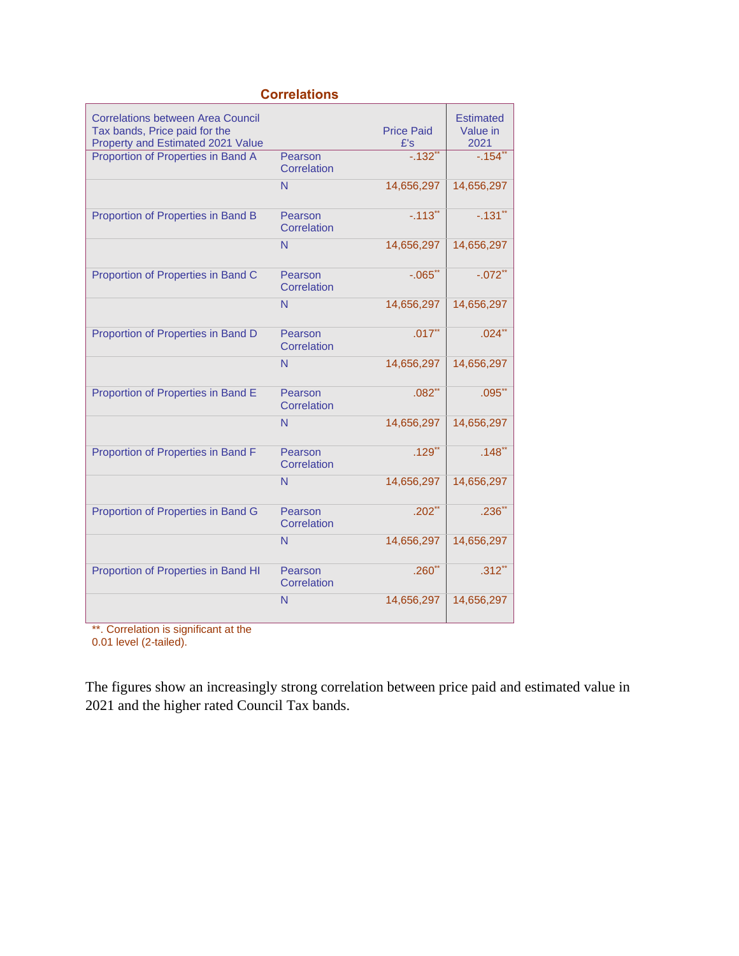| <b>Correlations</b>                                                                                            |                        |                          |                                      |  |  |
|----------------------------------------------------------------------------------------------------------------|------------------------|--------------------------|--------------------------------------|--|--|
| <b>Correlations between Area Council</b><br>Tax bands, Price paid for the<br>Property and Estimated 2021 Value |                        | <b>Price Paid</b><br>E's | <b>Estimated</b><br>Value in<br>2021 |  |  |
| Proportion of Properties in Band A                                                                             | Pearson<br>Correlation | $-.132"$                 | $-154$ **                            |  |  |
|                                                                                                                | N                      | 14,656,297               | 14,656,297                           |  |  |
| Proportion of Properties in Band B                                                                             | Pearson<br>Correlation | $-.113"$                 | $-.131"$                             |  |  |
|                                                                                                                | N                      | 14,656,297               | 14,656,297                           |  |  |
| Proportion of Properties in Band C                                                                             | Pearson<br>Correlation | $-.065$ <sup>**</sup>    | $-.072$ **                           |  |  |
|                                                                                                                | N                      | 14,656,297               | 14,656,297                           |  |  |
| Proportion of Properties in Band D                                                                             | Pearson<br>Correlation | $.017$ <sup>**</sup>     | $.024$ <sup>**</sup>                 |  |  |
|                                                                                                                | N                      | 14,656,297               | 14,656,297                           |  |  |
| Proportion of Properties in Band E                                                                             | Pearson<br>Correlation | $.082**$                 | $.095$ **                            |  |  |
|                                                                                                                | N                      | 14,656,297               | 14,656,297                           |  |  |
| Proportion of Properties in Band F                                                                             | Pearson<br>Correlation | $.129$ **                | $.148$ <sup>**</sup>                 |  |  |
|                                                                                                                | N                      | 14,656,297               | 14,656,297                           |  |  |
| Proportion of Properties in Band G                                                                             | Pearson<br>Correlation | $.202$ <sup>**</sup>     | $.236**$                             |  |  |
|                                                                                                                | N                      | 14,656,297               | 14,656,297                           |  |  |
| Proportion of Properties in Band HI                                                                            | Pearson<br>Correlation | $.260$ **                | $.312$ **                            |  |  |
|                                                                                                                | N                      | 14,656,297               | 14,656,297                           |  |  |

\*\*. Correlation is significant at the

0.01 level (2-tailed).

The figures show an increasingly strong correlation between price paid and estimated value in 2021 and the higher rated Council Tax bands.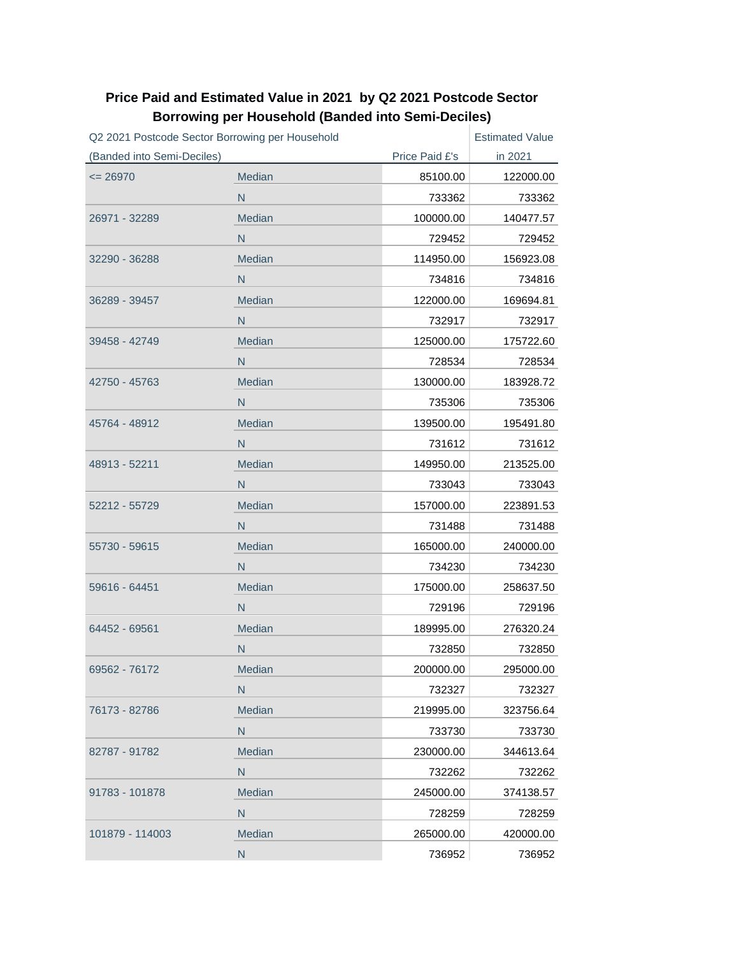| Q2 2021 Postcode Sector Borrowing per Household |              |                | <b>Estimated Value</b> |
|-------------------------------------------------|--------------|----------------|------------------------|
| (Banded into Semi-Deciles)                      |              | Price Paid £'s | in 2021                |
| $= 26970$                                       | Median       | 85100.00       | 122000.00              |
|                                                 | N            | 733362         | 733362                 |
| 26971 - 32289                                   | Median       | 100000.00      | 140477.57              |
|                                                 | N            | 729452         | 729452                 |
| 32290 - 36288                                   | Median       | 114950.00      | 156923.08              |
|                                                 | N.           | 734816         | 734816                 |
| 36289 - 39457                                   | Median       | 122000.00      | 169694.81              |
|                                                 | N            | 732917         | 732917                 |
| 39458 - 42749                                   | Median       | 125000.00      | 175722.60              |
|                                                 | N            | 728534         | 728534                 |
| 42750 - 45763                                   | Median       | 130000.00      | 183928.72              |
|                                                 | N            | 735306         | 735306                 |
| 45764 - 48912                                   | Median       | 139500.00      | 195491.80              |
|                                                 | N            | 731612         | 731612                 |
| 48913 - 52211                                   | Median       | 149950.00      | 213525.00              |
|                                                 | N            | 733043         | 733043                 |
| 52212 - 55729                                   | Median       | 157000.00      | 223891.53              |
|                                                 | N.           | 731488         | 731488                 |
| 55730 - 59615                                   | Median       | 165000.00      | 240000.00              |
|                                                 | N            | 734230         | 734230                 |
| 59616 - 64451                                   | Median       | 175000.00      | 258637.50              |
|                                                 | N            | 729196         | 729196                 |
| 64452 - 69561                                   | Median       | 189995.00      | 276320.24              |
|                                                 | N            | 732850         | 732850                 |
| 69562 - 76172                                   | Median       | 200000.00      | 295000.00              |
|                                                 | N            | 732327         | 732327                 |
| 76173 - 82786                                   | Median       | 219995.00      | 323756.64              |
|                                                 | ${\sf N}$    | 733730         | 733730                 |
| 82787 - 91782                                   | Median       | 230000.00      | 344613.64              |
|                                                 | N            | 732262         | 732262                 |
| 91783 - 101878                                  | Median       | 245000.00      | 374138.57              |
|                                                 | N            | 728259         | 728259                 |
| 101879 - 114003                                 | Median       | 265000.00      | 420000.00              |
|                                                 | $\mathsf{N}$ | 736952         | 736952                 |

## **Price Paid and Estimated Value in 2021 by Q2 2021 Postcode Sector Borrowing per Household (Banded into Semi-Deciles)**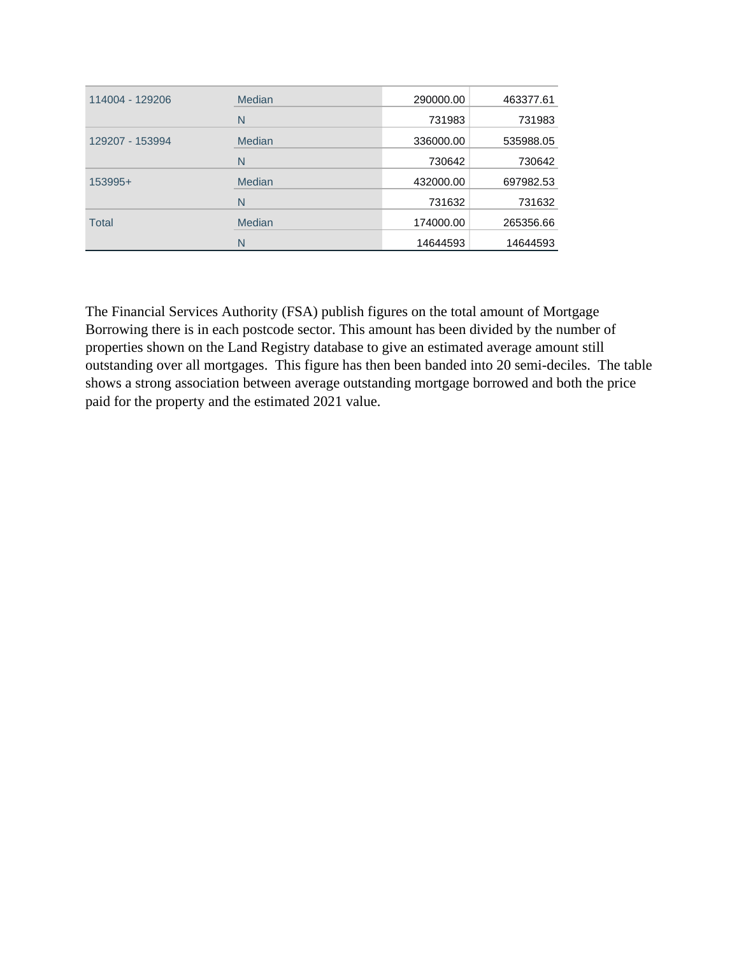| 114004 - 129206 | Median        | 290000.00 | 463377.61 |
|-----------------|---------------|-----------|-----------|
|                 | N             | 731983    | 731983    |
| 129207 - 153994 | Median        | 336000.00 | 535988.05 |
|                 | N             | 730642    | 730642    |
| 153995+         | <b>Median</b> | 432000.00 | 697982.53 |
|                 | N             | 731632    | 731632    |
| <b>Total</b>    | <b>Median</b> | 174000.00 | 265356.66 |
|                 | N             | 14644593  | 14644593  |

The Financial Services Authority (FSA) publish figures on the total amount of Mortgage Borrowing there is in each postcode sector. This amount has been divided by the number of properties shown on the Land Registry database to give an estimated average amount still outstanding over all mortgages. This figure has then been banded into 20 semi-deciles. The table shows a strong association between average outstanding mortgage borrowed and both the price paid for the property and the estimated 2021 value.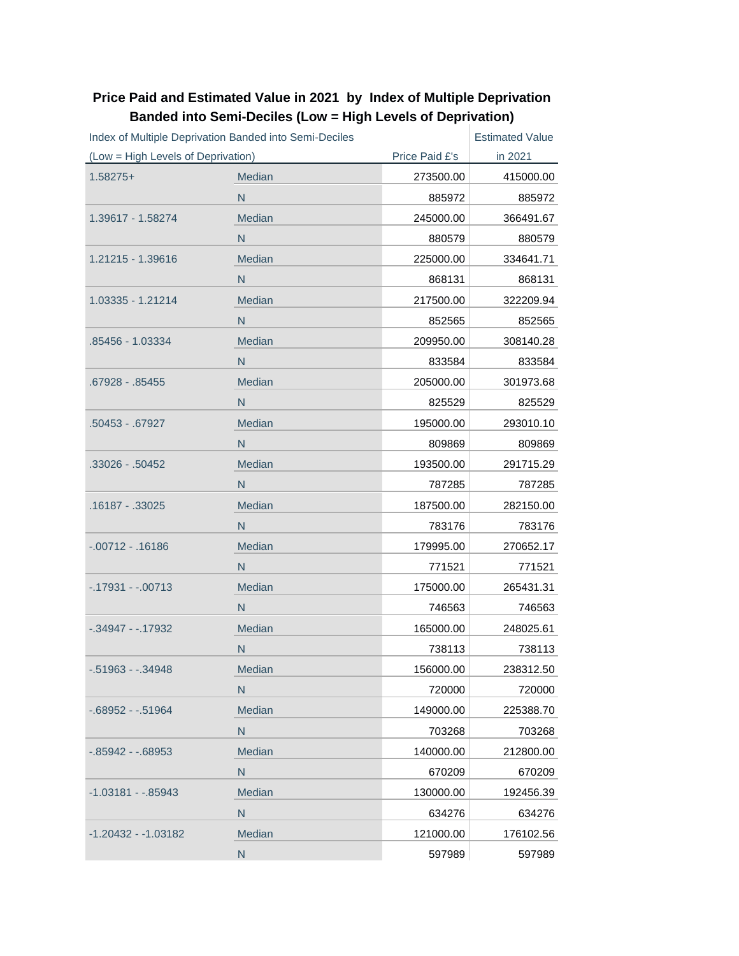| Index of Multiple Deprivation Banded into Semi-Deciles |              | <b>Estimated Value</b> |           |
|--------------------------------------------------------|--------------|------------------------|-----------|
| (Low = High Levels of Deprivation)                     |              | Price Paid £'s         | in 2021   |
| $1.58275+$                                             | Median       | 273500.00              | 415000.00 |
|                                                        | $\mathsf{N}$ | 885972                 | 885972    |
| 1.39617 - 1.58274                                      | Median       | 245000.00              | 366491.67 |
|                                                        | N            | 880579                 | 880579    |
| 1.21215 - 1.39616                                      | Median       | 225000.00              | 334641.71 |
|                                                        | N            | 868131                 | 868131    |
| 1.03335 - 1.21214                                      | Median       | 217500.00              | 322209.94 |
|                                                        | N            | 852565                 | 852565    |
| .85456 - 1.03334                                       | Median       | 209950.00              | 308140.28 |
|                                                        | N            | 833584                 | 833584    |
| .67928 - .85455                                        | Median       | 205000.00              | 301973.68 |
|                                                        | N            | 825529                 | 825529    |
| .50453 - .67927                                        | Median       | 195000.00              | 293010.10 |
|                                                        | $\mathsf{N}$ | 809869                 | 809869    |
| .33026 - .50452                                        | Median       | 193500.00              | 291715.29 |
|                                                        | N            | 787285                 | 787285    |
| .16187 - .33025                                        | Median       | 187500.00              | 282150.00 |
|                                                        | N            | 783176                 | 783176    |
| $-00712 - 16186$                                       | Median       | 179995.00              | 270652.17 |
|                                                        | N            | 771521                 | 771521    |
| $-0.17931 - 0.00713$                                   | Median       | 175000.00              | 265431.31 |
|                                                        | N            | 746563                 | 746563    |
| $-0.34947 - 0.17932$                                   | Median       | 165000.00              | 248025.61 |
|                                                        | N            | 738113                 | 738113    |
| $-0.51963 - 0.34948$                                   | Median       | 156000.00              | 238312.50 |
|                                                        | $\mathsf{N}$ | 720000                 | 720000    |
| $-0.68952 - 0.51964$                                   | Median       | 149000.00              | 225388.70 |
|                                                        | N            | 703268                 | 703268    |
| -.85942 - -.68953                                      | Median       | 140000.00              | 212800.00 |
|                                                        | $\mathsf{N}$ | 670209                 | 670209    |
| $-1.03181 - .85943$                                    | Median       | 130000.00              | 192456.39 |
|                                                        | ${\sf N}$    | 634276                 | 634276    |
| -1.20432 - -1.03182                                    | Median       | 121000.00              | 176102.56 |
|                                                        | ${\sf N}$    | 597989                 | 597989    |

## **Price Paid and Estimated Value in 2021 by Index of Multiple Deprivation Banded into Semi-Deciles (Low = High Levels of Deprivation)**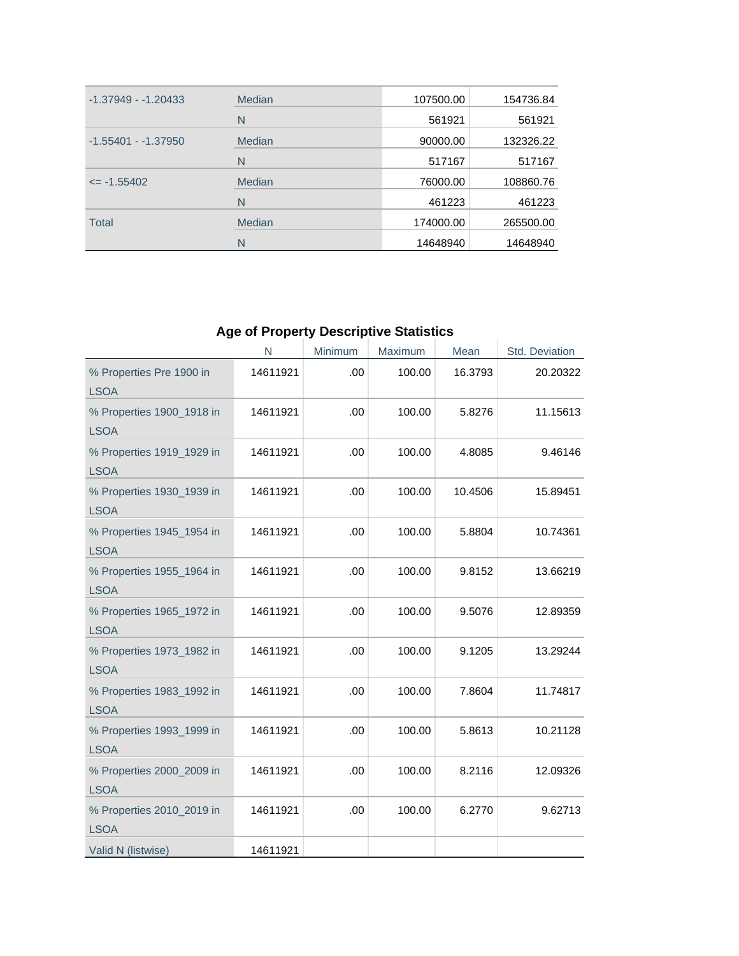| $-1.37949 - 1.20433$  | Median | 107500.00 | 154736.84 |
|-----------------------|--------|-----------|-----------|
|                       | N      | 561921    | 561921    |
| $-1.55401 - -1.37950$ | Median | 90000.00  | 132326.22 |
|                       | N      | 517167    | 517167    |
| $\le$ -1.55402        | Median | 76000.00  | 108860.76 |
|                       | N      | 461223    | 461223    |
| <b>Total</b>          | Median | 174000.00 | 265500.00 |
|                       | N      | 14648940  | 14648940  |

# **Age of Property Descriptive Statistics**

÷.

|                                          | N        | Minimum | Maximum | Mean    | Std. Deviation |
|------------------------------------------|----------|---------|---------|---------|----------------|
| % Properties Pre 1900 in<br><b>LSOA</b>  | 14611921 | .00     | 100.00  | 16.3793 | 20.20322       |
| % Properties 1900_1918 in<br><b>LSOA</b> | 14611921 | .00     | 100.00  | 5.8276  | 11.15613       |
| % Properties 1919_1929 in<br><b>LSOA</b> | 14611921 | .00     | 100.00  | 4.8085  | 9.46146        |
| % Properties 1930_1939 in<br><b>LSOA</b> | 14611921 | .00     | 100.00  | 10.4506 | 15.89451       |
| % Properties 1945_1954 in<br><b>LSOA</b> | 14611921 | .00     | 100.00  | 5.8804  | 10.74361       |
| % Properties 1955_1964 in<br><b>LSOA</b> | 14611921 | .00     | 100.00  | 9.8152  | 13.66219       |
| % Properties 1965_1972 in<br><b>LSOA</b> | 14611921 | .00     | 100.00  | 9.5076  | 12.89359       |
| % Properties 1973_1982 in<br><b>LSOA</b> | 14611921 | .00     | 100.00  | 9.1205  | 13.29244       |
| % Properties 1983_1992 in<br><b>LSOA</b> | 14611921 | .00     | 100.00  | 7.8604  | 11.74817       |
| % Properties 1993_1999 in<br><b>LSOA</b> | 14611921 | .00.    | 100.00  | 5.8613  | 10.21128       |
| % Properties 2000_2009 in<br><b>LSOA</b> | 14611921 | .00     | 100.00  | 8.2116  | 12.09326       |
| % Properties 2010_2019 in<br><b>LSOA</b> | 14611921 | .00     | 100.00  | 6.2770  | 9.62713        |
| Valid N (listwise)                       | 14611921 |         |         |         |                |